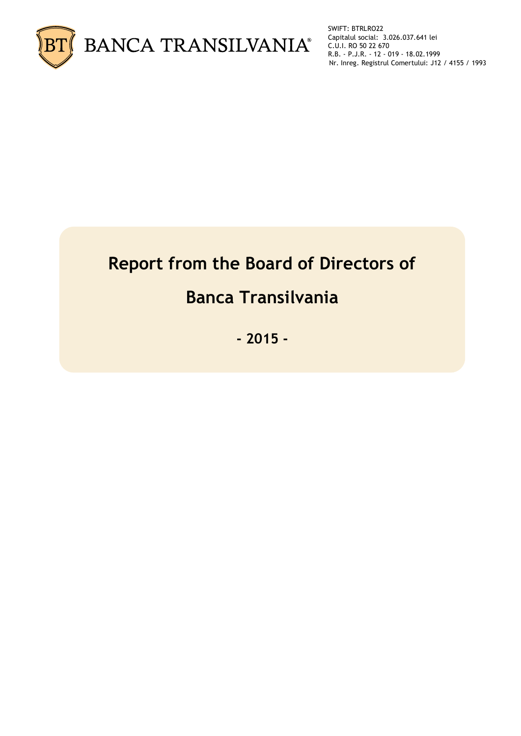

SWIFT: BTRLRO22 Capitalul social: 3.026.037.641 lei C.U.I. RO 50 22 670 R.B. - P.J.R. - 12 - 019 - 18.02.1999 Nr. Inreg. Registrul Comertului: J12 / 4155 / 1993

# **Report from the Board of Directors of**

## **Banca Transilvania**

**- 2015 -**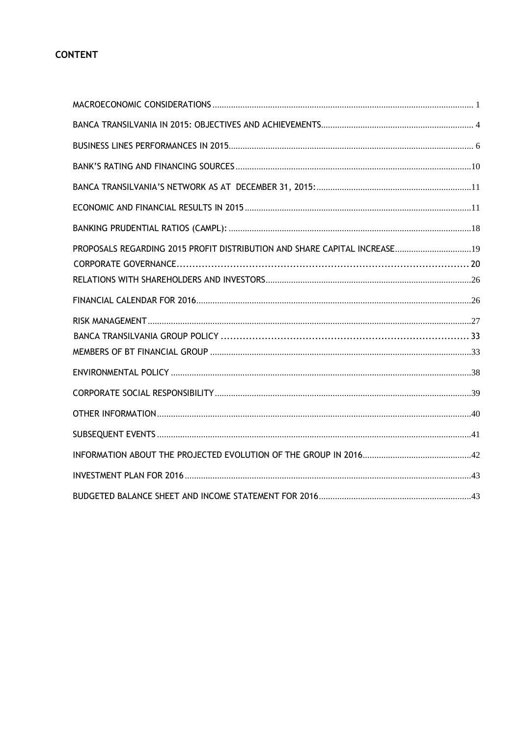## **CONTENT**

| PROPOSALS REGARDING 2015 PROFIT DISTRIBUTION AND SHARE CAPITAL INCREASE 19 |  |
|----------------------------------------------------------------------------|--|
|                                                                            |  |
|                                                                            |  |
|                                                                            |  |
|                                                                            |  |
|                                                                            |  |
|                                                                            |  |
|                                                                            |  |
|                                                                            |  |
|                                                                            |  |
|                                                                            |  |
|                                                                            |  |
|                                                                            |  |
|                                                                            |  |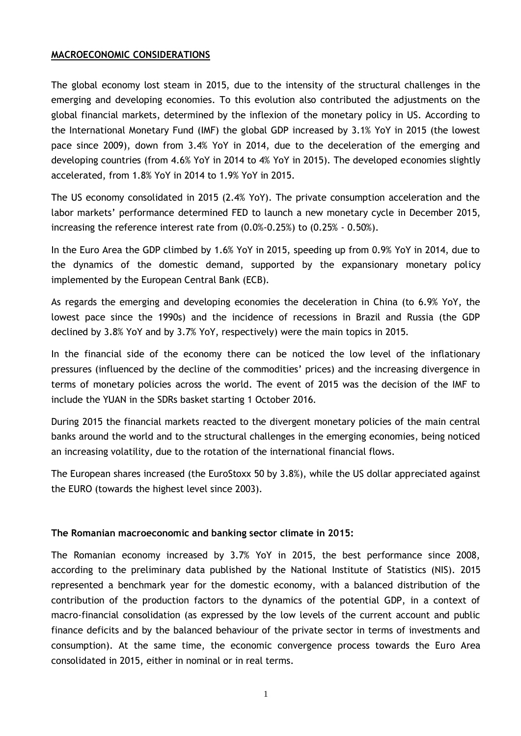## <span id="page-2-0"></span>**MACROECONOMIC CONSIDERATIONS**

The global economy lost steam in 2015, due to the intensity of the structural challenges in the emerging and developing economies. To this evolution also contributed the adjustments on the global financial markets, determined by the inflexion of the monetary policy in US. According to the International Monetary Fund (IMF) the global GDP increased by 3.1% YoY in 2015 (the lowest pace since 2009), down from 3.4% YoY in 2014, due to the deceleration of the emerging and developing countries (from 4.6% YoY in 2014 to 4% YoY in 2015). The developed economies slightly accelerated, from 1.8% YoY in 2014 to 1.9% YoY in 2015.

The US economy consolidated in 2015 (2.4% YoY). The private consumption acceleration and the labor markets' performance determined FED to launch a new monetary cycle in December 2015, increasing the reference interest rate from (0.0%-0.25%) to (0.25% - 0.50%).

In the Euro Area the GDP climbed by 1.6% YoY in 2015, speeding up from 0.9% YoY in 2014, due to the dynamics of the domestic demand, supported by the expansionary monetary policy implemented by the European Central Bank (ECB).

As regards the emerging and developing economies the deceleration in China (to 6.9% YoY, the lowest pace since the 1990s) and the incidence of recessions in Brazil and Russia (the GDP declined by 3.8% YoY and by 3.7% YoY, respectively) were the main topics in 2015.

In the financial side of the economy there can be noticed the low level of the inflationary pressures (influenced by the decline of the commodities' prices) and the increasing divergence in terms of monetary policies across the world. The event of 2015 was the decision of the IMF to include the YUAN in the SDRs basket starting 1 October 2016.

During 2015 the financial markets reacted to the divergent monetary policies of the main central banks around the world and to the structural challenges in the emerging economies, being noticed an increasing volatility, due to the rotation of the international financial flows.

The European shares increased (the EuroStoxx 50 by 3.8%), while the US dollar appreciated against the EURO (towards the highest level since 2003).

## **The Romanian macroeconomic and banking sector climate in 2015:**

The Romanian economy increased by 3.7% YoY in 2015, the best performance since 2008, according to the preliminary data published by the National Institute of Statistics (NIS). 2015 represented a benchmark year for the domestic economy, with a balanced distribution of the contribution of the production factors to the dynamics of the potential GDP, in a context of macro-financial consolidation (as expressed by the low levels of the current account and public finance deficits and by the balanced behaviour of the private sector in terms of investments and consumption). At the same time, the economic convergence process towards the Euro Area consolidated in 2015, either in nominal or in real terms.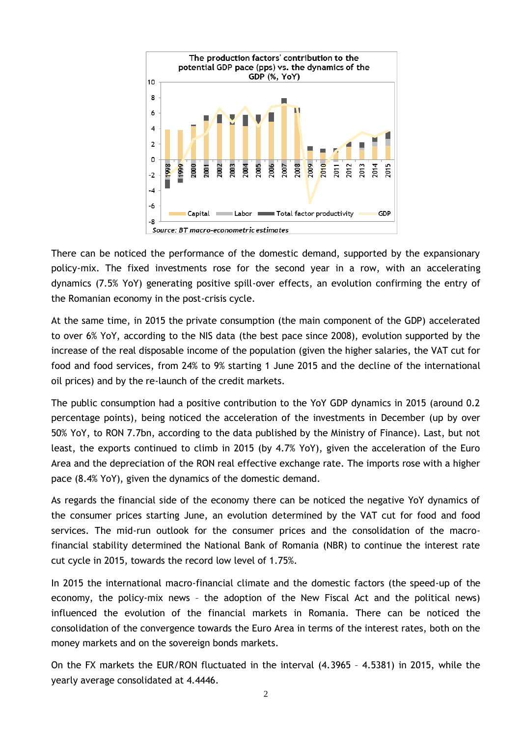

There can be noticed the performance of the domestic demand, supported by the expansionary policy-mix. The fixed investments rose for the second year in a row, with an accelerating dynamics (7.5% YoY) generating positive spill-over effects, an evolution confirming the entry of the Romanian economy in the post-crisis cycle.

At the same time, in 2015 the private consumption (the main component of the GDP) accelerated to over 6% YoY, according to the NIS data (the best pace since 2008), evolution supported by the increase of the real disposable income of the population (given the higher salaries, the VAT cut for food and food services, from 24% to 9% starting 1 June 2015 and the decline of the international oil prices) and by the re-launch of the credit markets.

The public consumption had a positive contribution to the YoY GDP dynamics in 2015 (around 0.2 percentage points), being noticed the acceleration of the investments in December (up by over 50% YoY, to RON 7.7bn, according to the data published by the Ministry of Finance). Last, but not least, the exports continued to climb in 2015 (by 4.7% YoY), given the acceleration of the Euro Area and the depreciation of the RON real effective exchange rate. The imports rose with a higher pace (8.4% YoY), given the dynamics of the domestic demand.

As regards the financial side of the economy there can be noticed the negative YoY dynamics of the consumer prices starting June, an evolution determined by the VAT cut for food and food services. The mid-run outlook for the consumer prices and the consolidation of the macrofinancial stability determined the National Bank of Romania (NBR) to continue the interest rate cut cycle in 2015, towards the record low level of 1.75%.

In 2015 the international macro-financial climate and the domestic factors (the speed-up of the economy, the policy-mix news – the adoption of the New Fiscal Act and the political news) influenced the evolution of the financial markets in Romania. There can be noticed the consolidation of the convergence towards the Euro Area in terms of the interest rates, both on the money markets and on the sovereign bonds markets.

On the FX markets the EUR/RON fluctuated in the interval (4.3965 – 4.5381) in 2015, while the yearly average consolidated at 4.4446.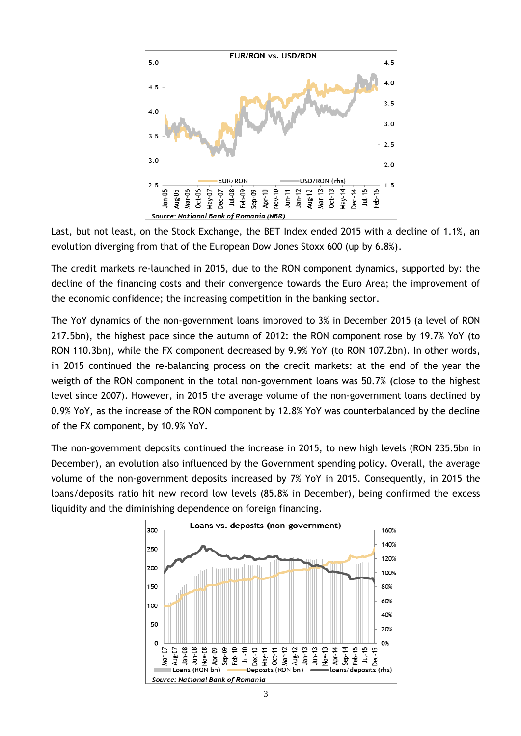

Last, but not least, on the Stock Exchange, the BET Index ended 2015 with a decline of 1.1%, an evolution diverging from that of the European Dow Jones Stoxx 600 (up by 6.8%).

The credit markets re-launched in 2015, due to the RON component dynamics, supported by: the decline of the financing costs and their convergence towards the Euro Area; the improvement of the economic confidence; the increasing competition in the banking sector.

The YoY dynamics of the non-government loans improved to 3% in December 2015 (a level of RON 217.5bn), the highest pace since the autumn of 2012: the RON component rose by 19.7% YoY (to RON 110.3bn), while the FX component decreased by 9.9% YoY (to RON 107.2bn). In other words, in 2015 continued the re-balancing process on the credit markets: at the end of the year the weigth of the RON component in the total non-government loans was 50.7% (close to the highest level since 2007). However, in 2015 the average volume of the non-government loans declined by 0.9% YoY, as the increase of the RON component by 12.8% YoY was counterbalanced by the decline of the FX component, by 10.9% YoY.

The non-government deposits continued the increase in 2015, to new high levels (RON 235.5bn in December), an evolution also influenced by the Government spending policy. Overall, the average volume of the non-government deposits increased by 7% YoY in 2015. Consequently, in 2015 the loans/deposits ratio hit new record low levels (85.8% in December), being confirmed the excess liquidity and the diminishing dependence on foreign financing.

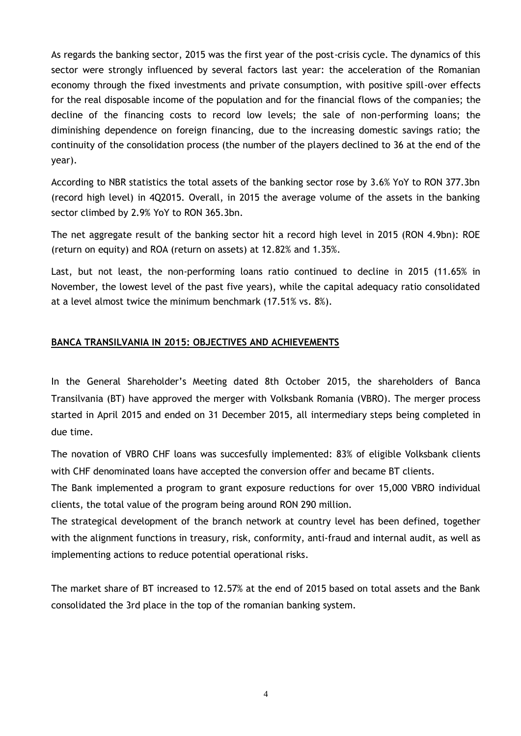As regards the banking sector, 2015 was the first year of the post-crisis cycle. The dynamics of this sector were strongly influenced by several factors last year: the acceleration of the Romanian economy through the fixed investments and private consumption, with positive spill-over effects for the real disposable income of the population and for the financial flows of the companies; the decline of the financing costs to record low levels; the sale of non-performing loans; the diminishing dependence on foreign financing, due to the increasing domestic savings ratio; the continuity of the consolidation process (the number of the players declined to 36 at the end of the year).

According to NBR statistics the total assets of the banking sector rose by 3.6% YoY to RON 377.3bn (record high level) in 4Q2015. Overall, in 2015 the average volume of the assets in the banking sector climbed by 2.9% YoY to RON 365.3bn.

The net aggregate result of the banking sector hit a record high level in 2015 (RON 4.9bn): ROE (return on equity) and ROA (return on assets) at 12.82% and 1.35%.

Last, but not least, the non-performing loans ratio continued to decline in 2015 (11.65% in November, the lowest level of the past five years), while the capital adequacy ratio consolidated at a level almost twice the minimum benchmark (17.51% vs. 8%).

## <span id="page-5-0"></span>**BANCA TRANSILVANIA IN 2015: OBJECTIVES AND ACHIEVEMENTS**

In the General Shareholder's Meeting dated 8th October 2015, the shareholders of Banca Transilvania (BT) have approved the merger with Volksbank Romania (VBRO). The merger process started in April 2015 and ended on 31 December 2015, all intermediary steps being completed in due time.

The novation of VBRO CHF loans was succesfully implemented: 83% of eligible Volksbank clients with CHF denominated loans have accepted the conversion offer and became BT clients.

The Bank implemented a program to grant exposure reductions for over 15,000 VBRO individual clients, the total value of the program being around RON 290 million.

The strategical development of the branch network at country level has been defined, together with the alignment functions in treasury, risk, conformity, anti-fraud and internal audit, as well as implementing actions to reduce potential operational risks.

The market share of BT increased to 12.57% at the end of 2015 based on total assets and the Bank consolidated the 3rd place in the top of the romanian banking system.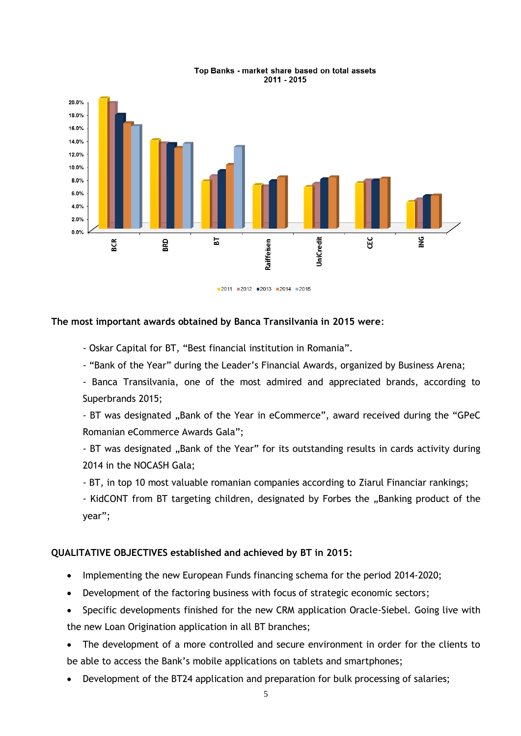

#### Top Banks - market share based on total assets 2011 - 2015

#### **The most important awards obtained by Banca Transilvania in 2015 were**:

- Oskar Capital for BT, "Best financial institution in Romania".

- "Bank of the Year" during the Leader's Financial Awards, organized by Business Arena;

- Banca Transilvania, one of the most admired and appreciated brands, according to Superbrands 2015;

- BT was designated "Bank of the Year in eCommerce", award received during the "GPeC Romanian eCommerce Awards Gala";

- BT was designated "Bank of the Year" for its outstanding results in cards activity during 2014 in the NOCASH Gala;

- BT, in top 10 most valuable romanian companies according to Ziarul Financiar rankings;

- KidCONT from BT targeting children, designated by Forbes the "Banking product of the year";

## **QUALITATIVE OBJECTIVES established and achieved by BT in 2015:**

- Implementing the new European Funds financing schema for the period 2014-2020;
- Development of the factoring business with focus of strategic economic sectors;
- Specific developments finished for the new CRM application Oracle-Siebel. Going live with the new Loan Origination application in all BT branches;
- The development of a more controlled and secure environment in order for the clients to be able to access the Bank's mobile applications on tablets and smartphones;
- Development of the BT24 application and preparation for bulk processing of salaries;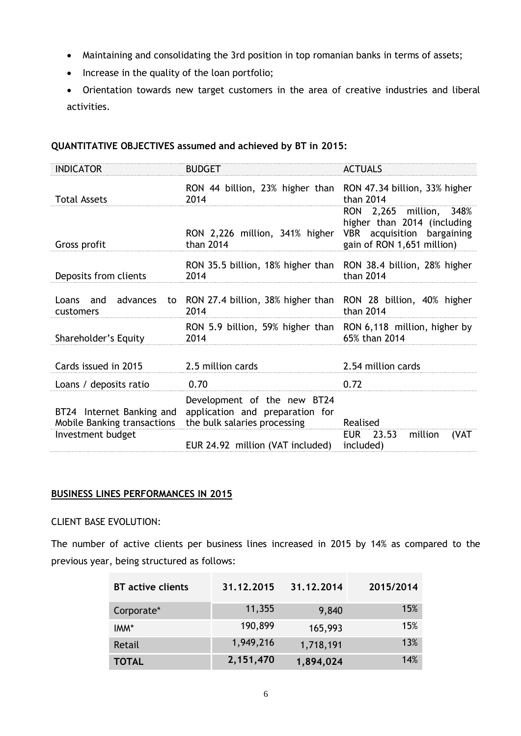- Maintaining and consolidating the 3rd position in top romanian banks in terms of assets;
- Increase in the quality of the loan portfolio;
- Orientation towards new target customers in the area of creative industries and liberal activities.

## **QUANTITATIVE OBJECTIVES assumed and achieved by BT in 2015:**

| <b>INDICATOR</b>                                         | <b>BUDGET</b>                                                                                  | <b>ACTUALS</b>                                                                                                     |
|----------------------------------------------------------|------------------------------------------------------------------------------------------------|--------------------------------------------------------------------------------------------------------------------|
| <b>Total Assets</b>                                      | RON 44 billion, 23% higher than RON 47.34 billion, 33% higher<br>2014                          | than 2014                                                                                                          |
| Gross profit                                             | RON 2,226 million, 341% higher<br>than 2014                                                    | RON 2,265 million, 348%<br>higher than 2014 (including<br>VBR acquisition bargaining<br>gain of RON 1,651 million) |
| Deposits from clients                                    | RON 35.5 billion, 18% higher than<br>2014                                                      | RON 38.4 billion, 28% higher<br>than 2014                                                                          |
| Loans and<br>advances<br>customers                       | to RON 27.4 billion, 38% higher than RON 28 billion, 40% higher<br>2014                        | than 2014                                                                                                          |
| Shareholder's Equity                                     | RON 5.9 billion, 59% higher than RON 6,118 million, higher by<br>2014                          | 65% than 2014                                                                                                      |
| Cards issued in 2015                                     | 2.5 million cards                                                                              | 2.54 million cards                                                                                                 |
| Loans / deposits ratio                                   | 0.70                                                                                           | 0.72                                                                                                               |
| BT24 Internet Banking and<br>Mobile Banking transactions | Development of the new BT24<br>application and preparation for<br>the bulk salaries processing | Realised                                                                                                           |
| Investment budget                                        | EUR 24.92 million (VAT included)                                                               | <b>EUR</b><br>23.53<br>million<br>(VAT<br>included)                                                                |

## <span id="page-7-0"></span>**BUSINESS LINES PERFORMANCES IN 2015**

## CLIENT BASE EVOLUTION:

The number of active clients per business lines increased in 2015 by 14% as compared to the previous year, being structured as follows:

| <b>BT</b> active clients | 31.12.2015 | 31.12.2014 | 2015/2014 |
|--------------------------|------------|------------|-----------|
| Corporate*               | 11,355     | 9,840      | 15%       |
| IMM*                     | 190,899    | 165,993    | 15%       |
| Retail                   | 1,949,216  | 1,718,191  | 13%       |
| <b>TOTAL</b>             | 2,151,470  | 1,894,024  | 14%       |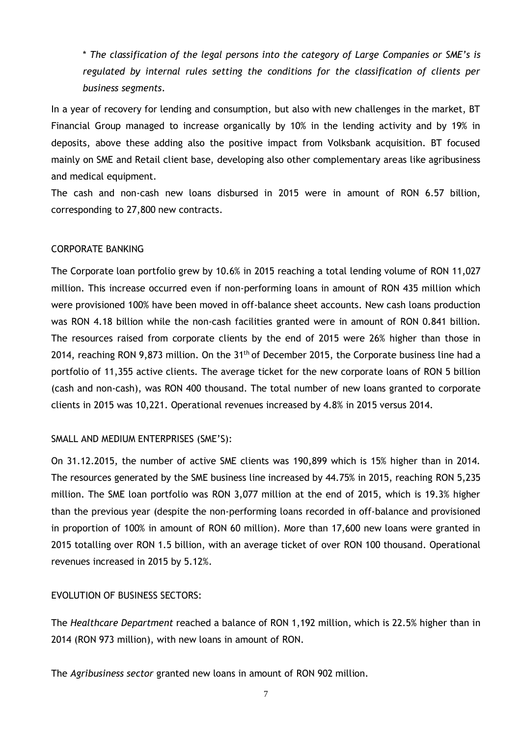\* *The classification of the legal persons into the category of Large Companies or SME's is regulated by internal rules setting the conditions for the classification of clients per business segments.*

In a year of recovery for lending and consumption, but also with new challenges in the market, BT Financial Group managed to increase organically by 10% in the lending activity and by 19% in deposits, above these adding also the positive impact from Volksbank acquisition. BT focused mainly on SME and Retail client base, developing also other complementary areas like agribusiness and medical equipment.

The cash and non-cash new loans disbursed in 2015 were in amount of RON 6.57 billion, corresponding to 27,800 new contracts.

## CORPORATE BANKING

The Corporate loan portfolio grew by 10.6% in 2015 reaching a total lending volume of RON 11,027 million. This increase occurred even if non-performing loans in amount of RON 435 million which were provisioned 100% have been moved in off-balance sheet accounts. New cash loans production was RON 4.18 billion while the non-cash facilities granted were in amount of RON 0.841 billion. The resources raised from corporate clients by the end of 2015 were 26% higher than those in 2014, reaching RON 9,873 million. On the 31<sup>th</sup> of December 2015, the Corporate business line had a portfolio of 11,355 active clients. The average ticket for the new corporate loans of RON 5 billion (cash and non-cash), was RON 400 thousand. The total number of new loans granted to corporate clients in 2015 was 10,221. Operational revenues increased by 4.8% in 2015 versus 2014.

## SMALL AND MEDIUM ENTERPRISES (SME'S):

On 31.12.2015, the number of active SME clients was 190,899 which is 15% higher than in 2014. The resources generated by the SME business line increased by 44.75% in 2015, reaching RON 5,235 million. The SME loan portfolio was RON 3,077 million at the end of 2015, which is 19.3% higher than the previous year (despite the non-performing loans recorded in off-balance and provisioned in proportion of 100% in amount of RON 60 million). More than 17,600 new loans were granted in 2015 totalling over RON 1.5 billion, with an average ticket of over RON 100 thousand. Operational revenues increased in 2015 by 5.12%.

## EVOLUTION OF BUSINESS SECTORS:

The *Healthcare Department* reached a balance of RON 1,192 million, which is 22.5% higher than in 2014 (RON 973 million), with new loans in amount of RON.

The *Agribusiness sector* granted new loans in amount of RON 902 million.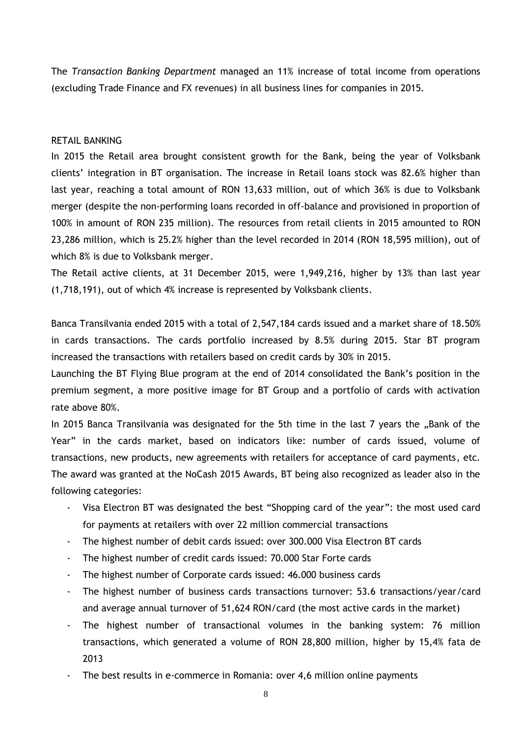The *Transaction Banking Department* managed an 11% increase of total income from operations (excluding Trade Finance and FX revenues) in all business lines for companies in 2015.

### RETAIL BANKING

In 2015 the Retail area brought consistent growth for the Bank, being the year of Volksbank clients' integration in BT organisation. The increase in Retail loans stock was 82.6% higher than last year, reaching a total amount of RON 13,633 million, out of which 36% is due to Volksbank merger (despite the non-performing loans recorded in off-balance and provisioned in proportion of 100% in amount of RON 235 million). The resources from retail clients in 2015 amounted to RON 23,286 million, which is 25.2% higher than the level recorded in 2014 (RON 18,595 million), out of which 8% is due to Volksbank merger.

The Retail active clients, at 31 December 2015, were 1,949,216, higher by 13% than last year (1,718,191), out of which 4% increase is represented by Volksbank clients.

Banca Transilvania ended 2015 with a total of 2,547,184 cards issued and a market share of 18.50% in cards transactions. The cards portfolio increased by 8.5% during 2015. Star BT program increased the transactions with retailers based on credit cards by 30% in 2015.

Launching the BT Flying Blue program at the end of 2014 consolidated the Bank's position in the premium segment, a more positive image for BT Group and a portfolio of cards with activation rate above 80%.

In 2015 Banca Transilvania was designated for the 5th time in the last 7 years the "Bank of the Year" in the cards market, based on indicators like: number of cards issued, volume of transactions, new products, new agreements with retailers for acceptance of card payments, etc. The award was granted at the NoCash 2015 Awards, BT being also recognized as leader also in the following categories:

- Visa Electron BT was designated the best "Shopping card of the year": the most used card for payments at retailers with over 22 million commercial transactions
- The highest number of debit cards issued: over 300.000 Visa Electron BT cards
- The highest number of credit cards issued: 70.000 Star Forte cards
- The highest number of Corporate cards issued: 46.000 business cards
- The highest number of business cards transactions turnover: 53.6 transactions/year/card and average annual turnover of 51,624 RON/card (the most active cards in the market)
- The highest number of transactional volumes in the banking system: 76 million transactions, which generated a volume of RON 28,800 million, higher by 15,4% fata de 2013
- The best results in e-commerce in Romania: over 4,6 million online payments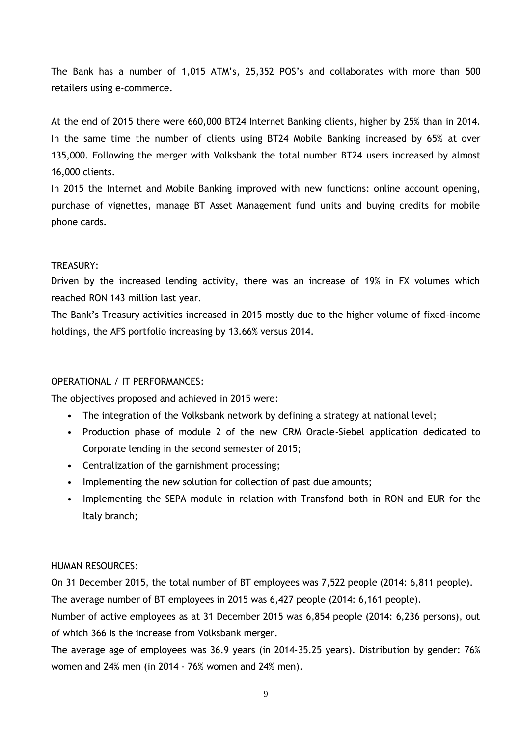The Bank has a number of 1,015 ATM's, 25,352 POS's and collaborates with more than 500 retailers using e-commerce.

At the end of 2015 there were 660,000 BT24 Internet Banking clients, higher by 25% than in 2014. In the same time the number of clients using BT24 Mobile Banking increased by 65% at over 135,000. Following the merger with Volksbank the total number BT24 users increased by almost 16,000 clients.

In 2015 the Internet and Mobile Banking improved with new functions: online account opening, purchase of vignettes, manage BT Asset Management fund units and buying credits for mobile phone cards.

## TREASURY:

Driven by the increased lending activity, there was an increase of 19% in FX volumes which reached RON 143 million last year.

The Bank's Treasury activities increased in 2015 mostly due to the higher volume of fixed-income holdings, the AFS portfolio increasing by 13.66% versus 2014.

## OPERATIONAL / IT PERFORMANCES:

The objectives proposed and achieved in 2015 were:

- The integration of the Volksbank network by defining a strategy at national level;
- Production phase of module 2 of the new CRM Oracle-Siebel application dedicated to Corporate lending in the second semester of 2015;
- Centralization of the garnishment processing;
- Implementing the new solution for collection of past due amounts;
- Implementing the SEPA module in relation with Transfond both in RON and EUR for the Italy branch;

## HUMAN RESOURCES:

On 31 December 2015, the total number of BT employees was 7,522 people (2014: 6,811 people).

The average number of BT employees in 2015 was 6,427 people (2014: 6,161 people).

Number of active employees as at 31 December 2015 was 6,854 people (2014: 6,236 persons), out of which 366 is the increase from Volksbank merger.

The average age of employees was 36.9 years (in 2014-35.25 years). Distribution by gender: 76% women and 24% men (in 2014 - 76% women and 24% men).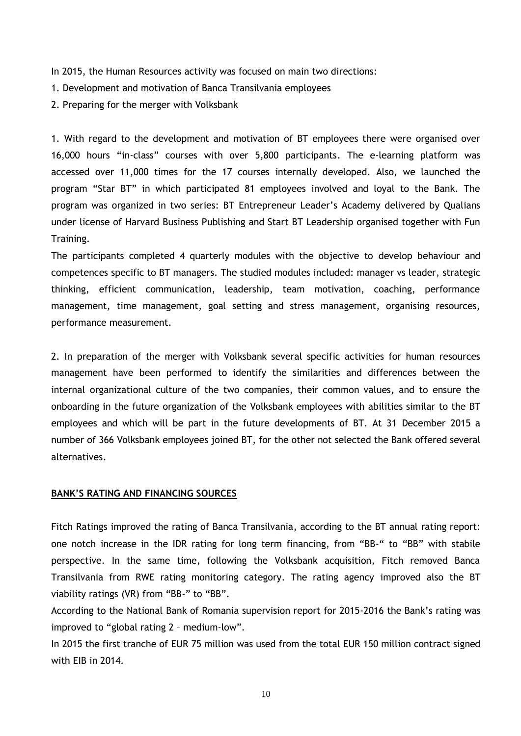In 2015, the Human Resources activity was focused on main two directions:

1. Development and motivation of Banca Transilvania employees

2. Preparing for the merger with Volksbank

1. With regard to the development and motivation of BT employees there were organised over 16,000 hours "in-class" courses with over 5,800 participants. The e-learning platform was accessed over 11,000 times for the 17 courses internally developed. Also, we launched the program "Star BT" in which participated 81 employees involved and loyal to the Bank. The program was organized in two series: BT Entrepreneur Leader's Academy delivered by Qualians under license of Harvard Business Publishing and Start BT Leadership organised together with Fun Training.

The participants completed 4 quarterly modules with the objective to develop behaviour and competences specific to BT managers. The studied modules included: manager vs leader, strategic thinking, efficient communication, leadership, team motivation, coaching, performance management, time management, goal setting and stress management, organising resources, performance measurement.

2. In preparation of the merger with Volksbank several specific activities for human resources management have been performed to identify the similarities and differences between the internal organizational culture of the two companies, their common values, and to ensure the onboarding in the future organization of the Volksbank employees with abilities similar to the BT employees and which will be part in the future developments of BT. At 31 December 2015 a number of 366 Volksbank employees joined BT, for the other not selected the Bank offered several alternatives.

#### <span id="page-11-0"></span>**BANK'S RATING AND FINANCING SOURCES**

Fitch Ratings improved the rating of Banca Transilvania, according to the BT annual rating report: one notch increase in the IDR rating for long term financing, from "BB-" to "BB" with stabile perspective. In the same time, following the Volksbank acquisition, Fitch removed Banca Transilvania from RWE rating monitoring category. The rating agency improved also the BT viability ratings (VR) from "BB-" to "BB".

According to the National Bank of Romania supervision report for 2015-2016 the Bank's rating was improved to "global rating 2 – medium-low".

In 2015 the first tranche of EUR 75 million was used from the total EUR 150 million contract signed with EIB in 2014.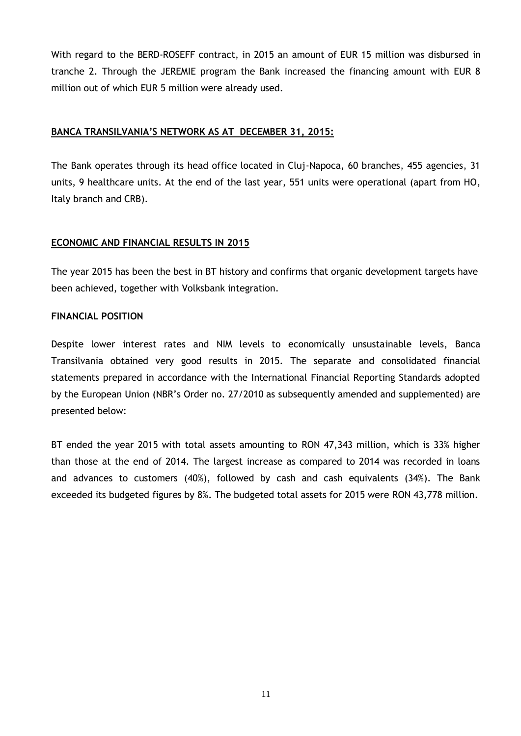With regard to the BERD-ROSEFF contract, in 2015 an amount of EUR 15 million was disbursed in tranche 2. Through the JEREMIE program the Bank increased the financing amount with EUR 8 million out of which EUR 5 million were already used.

## <span id="page-12-0"></span>**BANCA TRANSILVANIA'S NETWORK AS AT DECEMBER 31, 2015:**

The Bank operates through its head office located in Cluj-Napoca, 60 branches, 455 agencies, 31 units, 9 healthcare units. At the end of the last year, 551 units were operational (apart from HO, Italy branch and CRB).

## <span id="page-12-1"></span>**ECONOMIC AND FINANCIAL RESULTS IN 2015**

The year 2015 has been the best in BT history and confirms that organic development targets have been achieved, together with Volksbank integration.

#### **FINANCIAL POSITION**

Despite lower interest rates and NIM levels to economically unsustainable levels, Banca Transilvania obtained very good results in 2015. The separate and consolidated financial statements prepared in accordance with the International Financial Reporting Standards adopted by the European Union (NBR's Order no. 27/2010 as subsequently amended and supplemented) are presented below:

BT ended the year 2015 with total assets amounting to RON 47,343 million, which is 33% higher than those at the end of 2014. The largest increase as compared to 2014 was recorded in loans and advances to customers (40%), followed by cash and cash equivalents (34%). The Bank exceeded its budgeted figures by 8%. The budgeted total assets for 2015 were RON 43,778 million.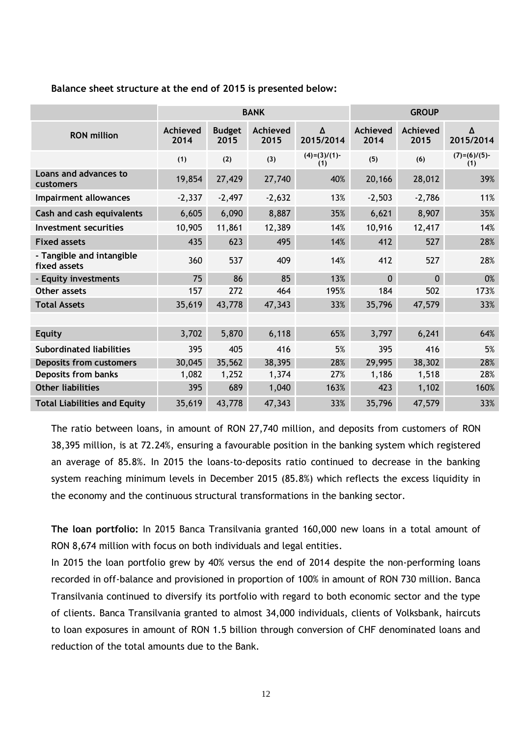#### **Balance sheet structure at the end of 2015 is presented below:**

|                                           | <b>BANK</b>      |                       |                  |                        | <b>GROUP</b>     |                  |                        |
|-------------------------------------------|------------------|-----------------------|------------------|------------------------|------------------|------------------|------------------------|
| <b>RON</b> million                        | Achieved<br>2014 | <b>Budget</b><br>2015 | Achieved<br>2015 | Δ<br>2015/2014         | Achieved<br>2014 | Achieved<br>2015 | Δ<br>2015/2014         |
|                                           | (1)              | (2)                   | (3)              | $(4)=(3)/(1)$ -<br>(1) | (5)              | (6)              | $(7)=(6)/(5)$ -<br>(1) |
| Loans and advances to<br>customers        | 19,854           | 27,429                | 27,740           | 40%                    | 20,166           | 28,012           | 39%                    |
| <b>Impairment allowances</b>              | $-2,337$         | $-2,497$              | $-2,632$         | 13%                    | $-2,503$         | $-2,786$         | 11%                    |
| Cash and cash equivalents                 | 6,605            | 6,090                 | 8,887            | 35%                    | 6,621            | 8,907            | 35%                    |
| Investment securities                     | 10,905           | 11,861                | 12,389           | 14%                    | 10,916           | 12,417           | 14%                    |
| <b>Fixed assets</b>                       | 435              | 623                   | 495              | 14%                    | 412              | 527              | 28%                    |
| - Tangible and intangible<br>fixed assets | 360              | 537                   | 409              | 14%                    | 412              | 527              | 28%                    |
| - Equity investments                      | 75               | 86                    | 85               | 13%                    | $\mathbf{0}$     | $\Omega$         | 0%                     |
| Other assets                              | 157              | 272                   | 464              | 195%                   | 184              | 502              | 173%                   |
| <b>Total Assets</b>                       | 35,619           | 43,778                | 47,343           | 33%                    | 35,796           | 47,579           | 33%                    |
|                                           |                  |                       |                  |                        |                  |                  |                        |
| <b>Equity</b>                             | 3,702            | 5,870                 | 6,118            | 65%                    | 3,797            | 6,241            | 64%                    |
| <b>Subordinated liabilities</b>           | 395              | 405                   | 416              | 5%                     | 395              | 416              | 5%                     |
| <b>Deposits from customers</b>            | 30,045           | 35,562                | 38,395           | 28%                    | 29,995           | 38,302           | 28%                    |
| Deposits from banks                       | 1,082            | 1,252                 | 1,374            | 27%                    | 1,186            | 1,518            | 28%                    |
| <b>Other liabilities</b>                  | 395              | 689                   | 1,040            | 163%                   | 423              | 1,102            | 160%                   |
| <b>Total Liabilities and Equity</b>       | 35,619           | 43,778                | 47,343           | 33%                    | 35,796           | 47,579           | 33%                    |

The ratio between loans, in amount of RON 27,740 million, and deposits from customers of RON 38,395 million, is at 72.24%, ensuring a favourable position in the banking system which registered an average of 85.8%. In 2015 the loans-to-deposits ratio continued to decrease in the banking system reaching minimum levels in December 2015 (85.8%) which reflects the excess liquidity in the economy and the continuous structural transformations in the banking sector.

**The loan portfolio:** In 2015 Banca Transilvania granted 160,000 new loans in a total amount of RON 8,674 million with focus on both individuals and legal entities.

In 2015 the loan portfolio grew by 40% versus the end of 2014 despite the non-performing loans recorded in off-balance and provisioned in proportion of 100% in amount of RON 730 million. Banca Transilvania continued to diversify its portfolio with regard to both economic sector and the type of clients. Banca Transilvania granted to almost 34,000 individuals, clients of Volksbank, haircuts to loan exposures in amount of RON 1.5 billion through conversion of CHF denominated loans and reduction of the total amounts due to the Bank.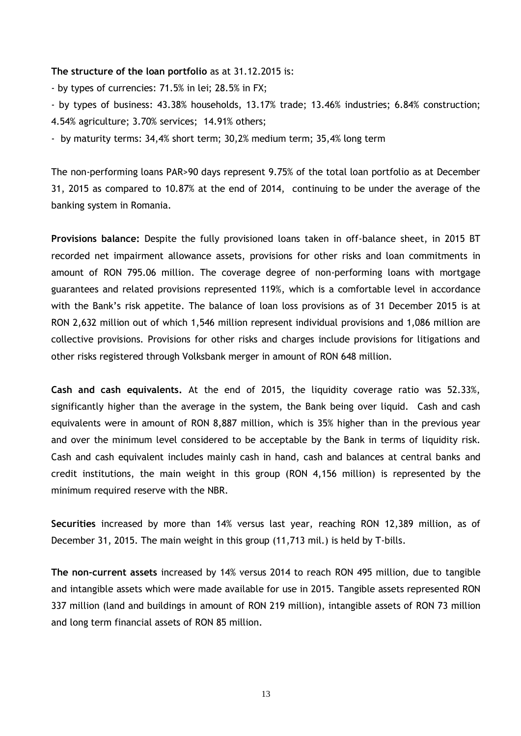#### **The structure of the loan portfolio** as at 31.12.2015 is:

- by types of currencies: 71.5% in lei; 28.5% in FX;

- by types of business: 43.38% households, 13.17% trade; 13.46% industries; 6.84% construction;

4.54% agriculture; 3.70% services; 14.91% others;

- by maturity terms: 34,4% short term; 30,2% medium term; 35,4% long term

The non-performing loans PAR>90 days represent 9.75% of the total loan portfolio as at December 31, 2015 as compared to 10.87% at the end of 2014, continuing to be under the average of the banking system in Romania.

**Provisions balance:** Despite the fully provisioned loans taken in off-balance sheet, in 2015 BT recorded net impairment allowance assets, provisions for other risks and loan commitments in amount of RON 795.06 million. The coverage degree of non-performing loans with mortgage guarantees and related provisions represented 119%, which is a comfortable level in accordance with the Bank's risk appetite. The balance of loan loss provisions as of 31 December 2015 is at RON 2,632 million out of which 1,546 million represent individual provisions and 1,086 million are collective provisions. Provisions for other risks and charges include provisions for litigations and other risks registered through Volksbank merger in amount of RON 648 million.

**Cash and cash equivalents.** At the end of 2015, the liquidity coverage ratio was 52.33%, significantly higher than the average in the system, the Bank being over liquid. Cash and cash equivalents were in amount of RON 8,887 million, which is 35% higher than in the previous year and over the minimum level considered to be acceptable by the Bank in terms of liquidity risk. Cash and cash equivalent includes mainly cash in hand, cash and balances at central banks and credit institutions, the main weight in this group (RON 4,156 million) is represented by the minimum required reserve with the NBR.

**Securities** increased by more than 14% versus last year, reaching RON 12,389 million, as of December 31, 2015. The main weight in this group (11,713 mil.) is held by T-bills.

**The non-current assets** increased by 14% versus 2014 to reach RON 495 million, due to tangible and intangible assets which were made available for use in 2015. Tangible assets represented RON 337 million (land and buildings in amount of RON 219 million), intangible assets of RON 73 million and long term financial assets of RON 85 million.

13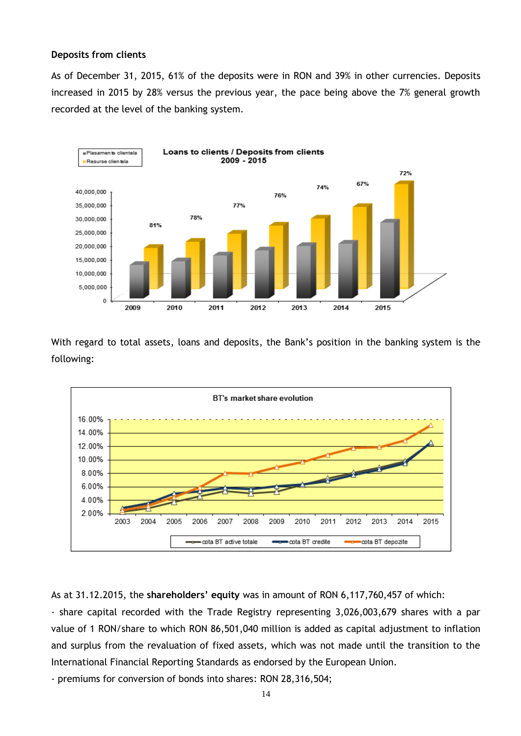#### **Deposits from clients**

As of December 31, 2015, 61% of the deposits were in RON and 39% in other currencies. Deposits increased in 2015 by 28% versus the previous year, the pace being above the 7% general growth recorded at the level of the banking system.



With regard to total assets, loans and deposits, the Bank's position in the banking system is the following:



As at 31.12.2015, the **shareholders' equity** was in amount of RON 6,117,760,457 of which:

- share capital recorded with the Trade Registry representing 3,026,003,679 shares with a par value of 1 RON/share to which RON 86,501,040 million is added as capital adjustment to inflation and surplus from the revaluation of fixed assets, which was not made until the transition to the International Financial Reporting Standards as endorsed by the European Union.

- premiums for conversion of bonds into shares: RON 28,316,504;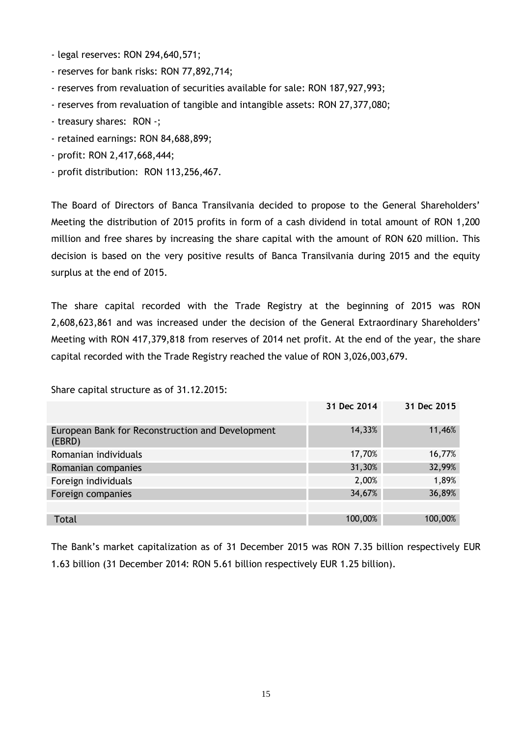- legal reserves: RON 294,640,571;
- reserves for bank risks: RON 77,892,714;
- reserves from revaluation of securities available for sale: RON 187,927,993;
- reserves from revaluation of tangible and intangible assets: RON 27,377,080;
- treasury shares: RON -;
- retained earnings: RON 84,688,899;
- profit: RON 2,417,668,444;
- profit distribution: RON 113,256,467.

The Board of Directors of Banca Transilvania decided to propose to the General Shareholders' Meeting the distribution of 2015 profits in form of a cash dividend in total amount of RON 1,200 million and free shares by increasing the share capital with the amount of RON 620 million. This decision is based on the very positive results of Banca Transilvania during 2015 and the equity surplus at the end of 2015.

The share capital recorded with the Trade Registry at the beginning of 2015 was RON 2,608,623,861 and was increased under the decision of the General Extraordinary Shareholders' Meeting with RON 417,379,818 from reserves of 2014 net profit. At the end of the year, the share capital recorded with the Trade Registry reached the value of RON 3,026,003,679.

Share capital structure as of 31.12.2015:

|                                                            | 31 Dec 2014 | 31 Dec 2015 |
|------------------------------------------------------------|-------------|-------------|
| European Bank for Reconstruction and Development<br>(EBRD) | 14,33%      | 11,46%      |
| Romanian individuals                                       | 17,70%      | 16,77%      |
| Romanian companies                                         | 31,30%      | 32,99%      |
| Foreign individuals                                        | 2,00%       | 1,89%       |
| Foreign companies                                          | 34,67%      | 36,89%      |
|                                                            |             |             |
| <b>Total</b>                                               | 100,00%     | 100,00%     |

The Bank's market capitalization as of 31 December 2015 was RON 7.35 billion respectively EUR 1.63 billion (31 December 2014: RON 5.61 billion respectively EUR 1.25 billion).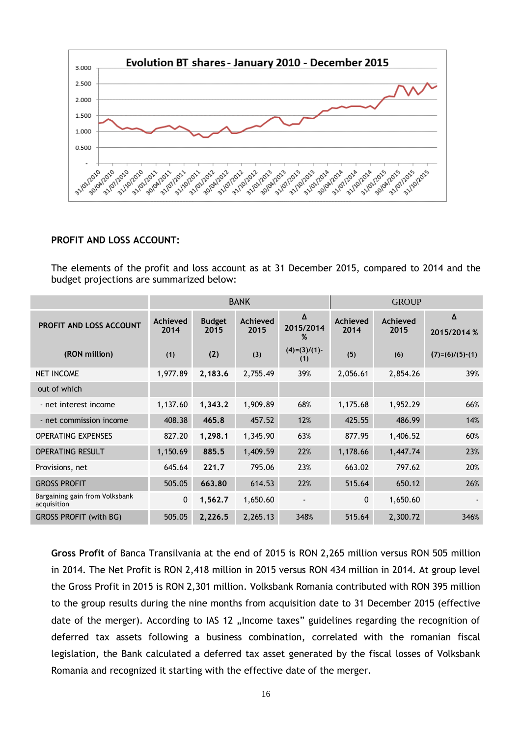

#### **PROFIT AND LOSS ACCOUNT:**

The elements of the profit and loss account as at 31 December 2015, compared to 2014 and the budget projections are summarized below:

|                                               | <b>BANK</b>      |                       |                  |                        | <b>GROUP</b>     |                  |                   |
|-----------------------------------------------|------------------|-----------------------|------------------|------------------------|------------------|------------------|-------------------|
| PROFIT AND LOSS ACCOUNT                       | Achieved<br>2014 | <b>Budget</b><br>2015 | Achieved<br>2015 | Δ<br>2015/2014<br>%    | Achieved<br>2014 | Achieved<br>2015 | Δ<br>2015/2014 %  |
| (RON million)                                 | (1)              | (2)                   | (3)              | $(4)=(3)/(1)$ -<br>(1) | (5)              | (6)              | $(7)=(6)/(5)-(1)$ |
| <b>NET INCOME</b>                             | 1,977.89         | 2,183.6               | 2,755.49         | 39%                    | 2,056.61         | 2,854.26         | 39%               |
| out of which                                  |                  |                       |                  |                        |                  |                  |                   |
| - net interest income                         | 1,137.60         | 1,343.2               | 1,909.89         | 68%                    | 1,175.68         | 1,952.29         | 66%               |
| - net commission income                       | 408.38           | 465.8                 | 457.52           | 12%                    | 425.55           | 486.99           | 14%               |
| <b>OPERATING EXPENSES</b>                     | 827.20           | 1,298.1               | 1,345.90         | 63%                    | 877.95           | 1,406.52         | 60%               |
| <b>OPERATING RESULT</b>                       | 1,150.69         | 885.5                 | 1,409.59         | 22%                    | 1,178.66         | 1,447.74         | 23%               |
| Provisions, net                               | 645.64           | 221.7                 | 795.06           | 23%                    | 663.02           | 797.62           | 20%               |
| <b>GROSS PROFIT</b>                           | 505.05           | 663.80                | 614.53           | 22%                    | 515.64           | 650.12           | 26%               |
| Bargaining gain from Volksbank<br>acquisition | 0                | 1,562.7               | 1,650.60         |                        | 0                | 1,650.60         |                   |
| <b>GROSS PROFIT (with BG)</b>                 | 505.05           | 2,226.5               | 2,265.13         | 348%                   | 515.64           | 2,300.72         | 346%              |

**Gross Profit** of Banca Transilvania at the end of 2015 is RON 2,265 million versus RON 505 million in 2014. The Net Profit is RON 2,418 million in 2015 versus RON 434 million in 2014. At group level the Gross Profit in 2015 is RON 2,301 million. Volksbank Romania contributed with RON 395 million to the group results during the nine months from acquisition date to 31 December 2015 (effective date of the merger). According to IAS 12 "Income taxes" guidelines regarding the recognition of deferred tax assets following a business combination, correlated with the romanian fiscal legislation, the Bank calculated a deferred tax asset generated by the fiscal losses of Volksbank Romania and recognized it starting with the effective date of the merger.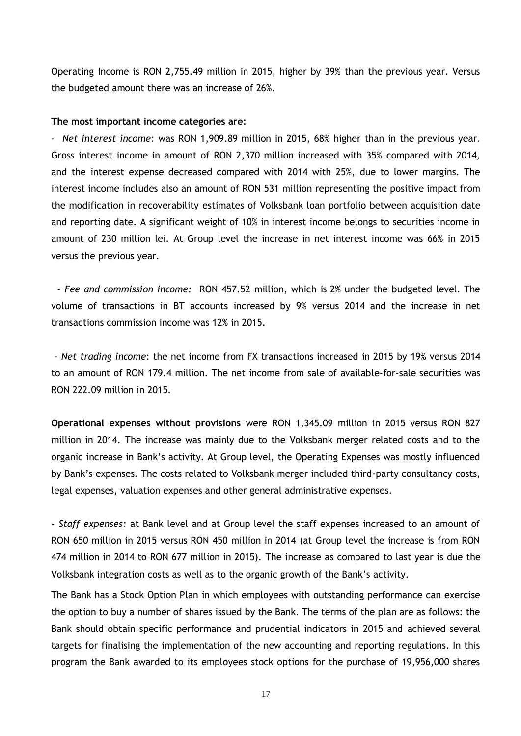Operating Income is RON 2,755.49 million in 2015, higher by 39% than the previous year. Versus the budgeted amount there was an increase of 26%.

#### **The most important income categories are:**

- *Net interest income*: was RON 1,909.89 million in 2015, 68% higher than in the previous year. Gross interest income in amount of RON 2,370 million increased with 35% compared with 2014, and the interest expense decreased compared with 2014 with 25%, due to lower margins. The interest income includes also an amount of RON 531 million representing the positive impact from the modification in recoverability estimates of Volksbank loan portfolio between acquisition date and reporting date. A significant weight of 10% in interest income belongs to securities income in amount of 230 million lei. At Group level the increase in net interest income was 66% in 2015 versus the previous year.

 *- Fee and commission income:* RON 457.52 million, which is 2% under the budgeted level. The volume of transactions in BT accounts increased by 9% versus 2014 and the increase in net transactions commission income was 12% in 2015.

*- Net trading income*: the net income from FX transactions increased in 2015 by 19% versus 2014 to an amount of RON 179.4 million. The net income from sale of available-for-sale securities was RON 222.09 million in 2015.

**Operational expenses without provisions** were RON 1,345.09 million in 2015 versus RON 827 million in 2014. The increase was mainly due to the Volksbank merger related costs and to the organic increase in Bank's activity. At Group level, the Operating Expenses was mostly influenced by Bank's expenses. The costs related to Volksbank merger included third-party consultancy costs, legal expenses, valuation expenses and other general administrative expenses.

- *Staff expenses:* at Bank level and at Group level the staff expenses increased to an amount of RON 650 million in 2015 versus RON 450 million in 2014 (at Group level the increase is from RON 474 million in 2014 to RON 677 million in 2015). The increase as compared to last year is due the Volksbank integration costs as well as to the organic growth of the Bank's activity.

The Bank has a Stock Option Plan in which employees with outstanding performance can exercise the option to buy a number of shares issued by the Bank. The terms of the plan are as follows: the Bank should obtain specific performance and prudential indicators in 2015 and achieved several targets for finalising the implementation of the new accounting and reporting regulations. In this program the Bank awarded to its employees stock options for the purchase of 19,956,000 shares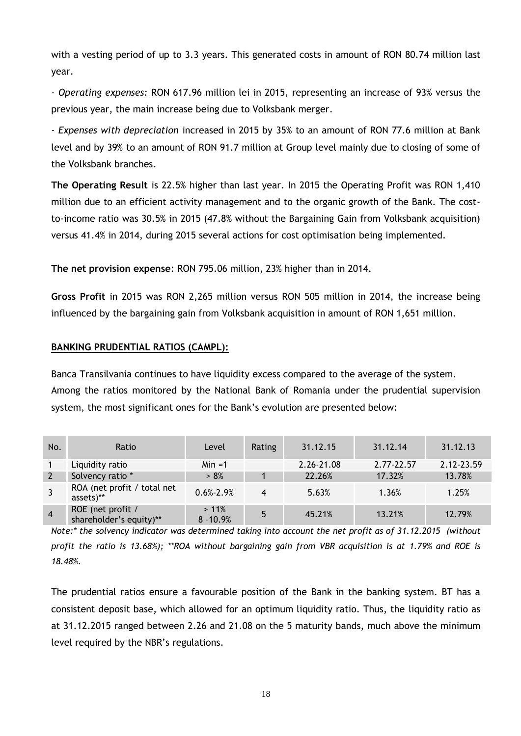with a vesting period of up to 3.3 years. This generated costs in amount of RON 80.74 million last year.

*- Operating expenses:* RON 617.96 million lei in 2015, representing an increase of 93% versus the previous year, the main increase being due to Volksbank merger.

*- Expenses with depreciation* increased in 2015 by 35% to an amount of RON 77.6 million at Bank level and by 39% to an amount of RON 91.7 million at Group level mainly due to closing of some of the Volksbank branches.

**The Operating Result** is 22.5% higher than last year. In 2015 the Operating Profit was RON 1,410 million due to an efficient activity management and to the organic growth of the Bank. The costto-income ratio was 30.5% in 2015 (47.8% without the Bargaining Gain from Volksbank acquisition) versus 41.4% in 2014, during 2015 several actions for cost optimisation being implemented.

**The net provision expense**: RON 795.06 million, 23% higher than in 2014.

**Gross Profit** in 2015 was RON 2,265 million versus RON 505 million in 2014, the increase being influenced by the bargaining gain from Volksbank acquisition in amount of RON 1,651 million.

## <span id="page-19-0"></span>**BANKING PRUDENTIAL RATIOS (CAMPL):**

Banca Transilvania continues to have liquidity excess compared to the average of the system. Among the ratios monitored by the National Bank of Romania under the prudential supervision system, the most significant ones for the Bank's evolution are presented below:

| No.            | Ratio                                        | Level                  | Rating | 31.12.15   | 31.12.14   | 31.12.13   |
|----------------|----------------------------------------------|------------------------|--------|------------|------------|------------|
|                | Liquidity ratio                              | $Min = 1$              |        | 2.26-21.08 | 2.77-22.57 | 2.12-23.59 |
| 2              | Solvency ratio *                             | > 8%                   |        | 22.26%     | 17.32%     | 13.78%     |
|                | ROA (net profit / total net<br>assets)**     | $0.6\% - 2.9\%$        | 4      | 5.63%      | 1.36%      | 1.25%      |
| $\overline{4}$ | ROE (net profit /<br>shareholder's equity)** | $>11\%$<br>$8 - 10.9%$ | 5      | 45.21%     | 13.21%     | 12.79%     |

*Note:\* the solvency indicator was determined taking into account the net profit as of 31.12.2015 (without profit the ratio is 13.68%); \*\*ROA without bargaining gain from VBR acquisition is at 1.79% and ROE is 18.48%.*

The prudential ratios ensure a favourable position of the Bank in the banking system. BT has a consistent deposit base, which allowed for an optimum liquidity ratio. Thus, the liquidity ratio as at 31.12.2015 ranged between 2.26 and 21.08 on the 5 maturity bands, much above the minimum level required by the NBR's regulations.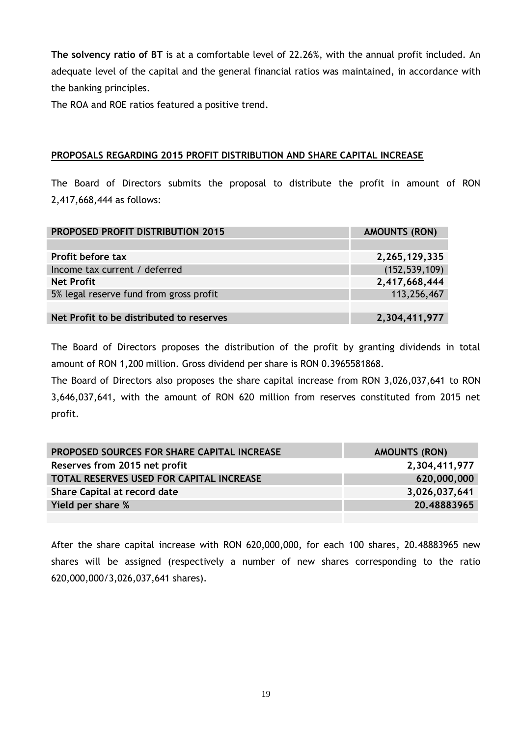**The solvency ratio of BT** is at a comfortable level of 22.26%, with the annual profit included. An adequate level of the capital and the general financial ratios was maintained, in accordance with the banking principles.

The ROA and ROE ratios featured a positive trend.

## <span id="page-20-0"></span>**PROPOSALS REGARDING 2015 PROFIT DISTRIBUTION AND SHARE CAPITAL INCREASE**

The Board of Directors submits the proposal to distribute the profit in amount of RON 2,417,668,444 as follows:

| <b>PROPOSED PROFIT DISTRIBUTION 2015</b> | <b>AMOUNTS (RON)</b> |
|------------------------------------------|----------------------|
|                                          |                      |
| <b>Profit before tax</b>                 | 2,265,129,335        |
| Income tax current / deferred            | (152, 539, 109)      |
| <b>Net Profit</b>                        | 2,417,668,444        |
| 5% legal reserve fund from gross profit  | 113,256,467          |
|                                          |                      |
| Net Profit to be distributed to reserves | 2,304,411,977        |

The Board of Directors proposes the distribution of the profit by granting dividends in total amount of RON 1,200 million. Gross dividend per share is RON 0.3965581868.

The Board of Directors also proposes the share capital increase from RON 3,026,037,641 to RON 3,646,037,641, with the amount of RON 620 million from reserves constituted from 2015 net profit.

| PROPOSED SOURCES FOR SHARE CAPITAL INCREASE     | <b>AMOUNTS (RON)</b> |
|-------------------------------------------------|----------------------|
| Reserves from 2015 net profit                   | 2,304,411,977        |
| <b>TOTAL RESERVES USED FOR CAPITAL INCREASE</b> | 620,000,000          |
| Share Capital at record date                    | 3,026,037,641        |
| Yield per share %                               | 20.48883965          |
|                                                 |                      |

After the share capital increase with RON 620,000,000, for each 100 shares, 20.48883965 new shares will be assigned (respectively a number of new shares corresponding to the ratio 620,000,000/3,026,037,641 shares).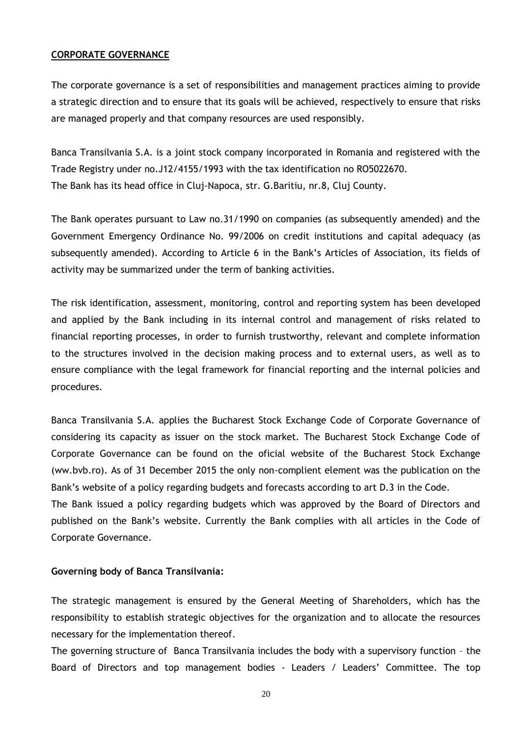### <span id="page-21-0"></span>**CORPORATE GOVERNANCE**

The corporate governance is a set of responsibilities and management practices aiming to provide a strategic direction and to ensure that its goals will be achieved, respectively to ensure that risks are managed properly and that company resources are used responsibly.

Banca Transilvania S.A. is a joint stock company incorporated in Romania and registered with the Trade Registry under no.J12/4155/1993 with the tax identification no RO5022670. The Bank has its head office in Cluj-Napoca, str. G.Baritiu, nr.8, Cluj County.

The Bank operates pursuant to Law no.31/1990 on companies (as subsequently amended) and the Government Emergency Ordinance No. 99/2006 on credit institutions and capital adequacy (as subsequently amended). According to Article 6 in the Bank's Articles of Association, its fields of activity may be summarized under the term of banking activities.

The risk identification, assessment, monitoring, control and reporting system has been developed and applied by the Bank including in its internal control and management of risks related to financial reporting processes, in order to furnish trustworthy, relevant and complete information to the structures involved in the decision making process and to external users, as well as to ensure compliance with the legal framework for financial reporting and the internal policies and procedures.

Banca Transilvania S.A. applies the Bucharest Stock Exchange Code of Corporate Governance of considering its capacity as issuer on the stock market. The Bucharest Stock Exchange Code of Corporate Governance can be found on the oficial website of the Bucharest Stock Exchange (ww.bvb.ro). As of 31 December 2015 the only non-complient element was the publication on the Bank's website of a policy regarding budgets and forecasts according to art D.3 in the Code.

The Bank issued a policy regarding budgets which was approved by the Board of Directors and published on the Bank's website. Currently the Bank complies with all articles in the Code of Corporate Governance.

#### **Governing body of Banca Transilvania:**

The strategic management is ensured by the General Meeting of Shareholders, which has the responsibility to establish strategic objectives for the organization and to allocate the resources necessary for the implementation thereof.

The governing structure of Banca Transilvania includes the body with a supervisory function – the Board of Directors and top management bodies - Leaders / Leaders' Committee. The top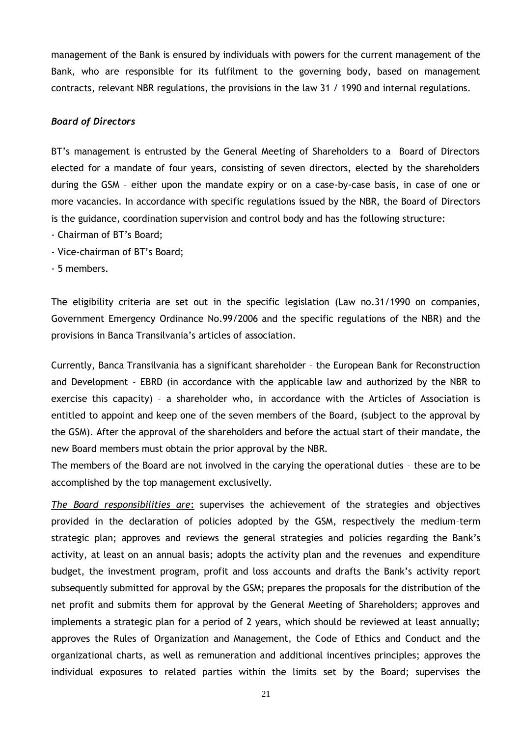management of the Bank is ensured by individuals with powers for the current management of the Bank, who are responsible for its fulfilment to the governing body, based on management contracts, relevant NBR regulations, the provisions in the law 31 / 1990 and internal regulations.

## *Board of Directors*

BT's management is entrusted by the General Meeting of Shareholders to a Board of Directors elected for a mandate of four years, consisting of seven directors, elected by the shareholders during the GSM – either upon the mandate expiry or on a case-by-case basis, in case of one or more vacancies. In accordance with specific regulations issued by the NBR, the Board of Directors is the guidance, coordination supervision and control body and has the following structure:

- Chairman of BT's Board;
- Vice-chairman of BT's Board;
- 5 members.

The eligibility criteria are set out in the specific legislation (Law no.31/1990 on companies, Government Emergency Ordinance No.99/2006 and the specific regulations of the NBR) and the provisions in Banca Transilvania's articles of association.

Currently, Banca Transilvania has a significant shareholder – the European Bank for Reconstruction and Development - EBRD (in accordance with the applicable law and authorized by the NBR to exercise this capacity) – a shareholder who, in accordance with the Articles of Association is entitled to appoint and keep one of the seven members of the Board, (subject to the approval by the GSM). After the approval of the shareholders and before the actual start of their mandate, the new Board members must obtain the prior approval by the NBR.

The members of the Board are not involved in the carying the operational duties – these are to be accomplished by the top management exclusivelly.

*The Board responsibilities are*: supervises the achievement of the strategies and objectives provided in the declaration of policies adopted by the GSM, respectively the medium–term strategic plan; approves and reviews the general strategies and policies regarding the Bank's activity, at least on an annual basis; adopts the activity plan and the revenues and expenditure budget, the investment program, profit and loss accounts and drafts the Bank's activity report subsequently submitted for approval by the GSM; prepares the proposals for the distribution of the net profit and submits them for approval by the General Meeting of Shareholders; approves and implements a strategic plan for a period of 2 years, which should be reviewed at least annually; approves the Rules of Organization and Management, the Code of Ethics and Conduct and the organizational charts, as well as remuneration and additional incentives principles; approves the individual exposures to related parties within the limits set by the Board; supervises the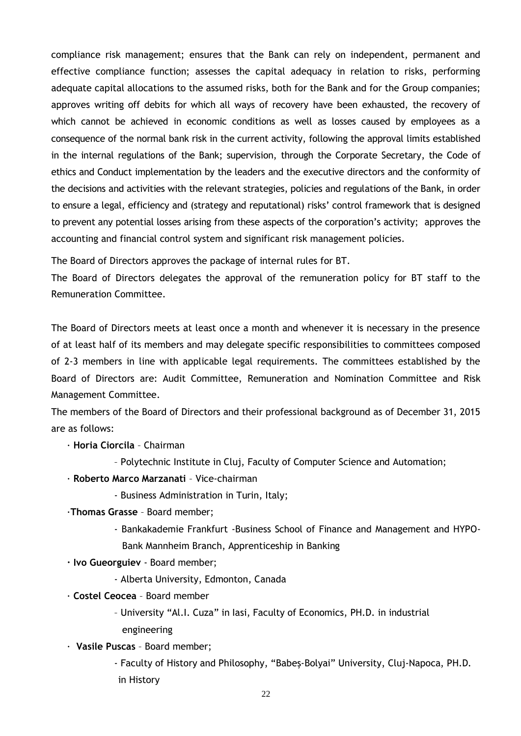compliance risk management; ensures that the Bank can rely on independent, permanent and effective compliance function; assesses the capital adequacy in relation to risks, performing adequate capital allocations to the assumed risks, both for the Bank and for the Group companies; approves writing off debits for which all ways of recovery have been exhausted, the recovery of which cannot be achieved in economic conditions as well as losses caused by employees as a consequence of the normal bank risk in the current activity, following the approval limits established in the internal regulations of the Bank; supervision, through the Corporate Secretary, the Code of ethics and Conduct implementation by the leaders and the executive directors and the conformity of the decisions and activities with the relevant strategies, policies and regulations of the Bank, in order to ensure a legal, efficiency and (strategy and reputational) risks' control framework that is designed to prevent any potential losses arising from these aspects of the corporation's activity; approves the accounting and financial control system and significant risk management policies.

The Board of Directors approves the package of internal rules for BT.

The Board of Directors delegates the approval of the remuneration policy for BT staff to the Remuneration Committee.

The Board of Directors meets at least once a month and whenever it is necessary in the presence of at least half of its members and may delegate specific responsibilities to committees composed of 2-3 members in line with applicable legal requirements. The committees established by the Board of Directors are: Audit Committee, Remuneration and Nomination Committee and Risk Management Committee.

The members of the Board of Directors and their professional background as of December 31, 2015 are as follows:

- · **Horia Ciorcila** Chairman
	- Polytechnic Institute in Cluj, Faculty of Computer Science and Automation;
- · **Roberto Marco Marzanati** Vice-chairman
	- Business Administration in Turin, Italy;
- ·**Thomas Grasse** Board member;
	- Bankakademie Frankfurt -Business School of Finance and Management and HYPO-Bank Mannheim Branch, Apprenticeship in Banking
- **· Ivo Gueorguiev**  Board member;
	- Alberta University, Edmonton, Canada
- · **Costel Ceocea** Board member
	- University "Al.I. Cuza" in Iasi, Faculty of Economics, PH.D. in industrial engineering
- · **Vasile Puscas** Board member;
	- Faculty of History and Philosophy, "Babeş-Bolyai" University, Cluj-Napoca, PH.D. in History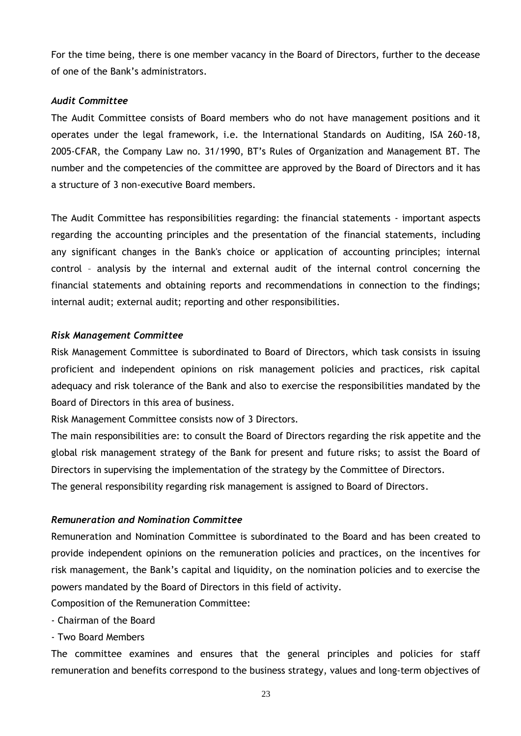For the time being, there is one member vacancy in the Board of Directors, further to the decease of one of the Bank's administrators.

## *Audit Committee*

The Audit Committee consists of Board members who do not have management positions and it operates under the legal framework, i.e. the International Standards on Auditing, ISA 260-18, 2005-CFAR, the Company Law no. 31/1990, BT's Rules of Organization and Management BT. The number and the competencies of the committee are approved by the Board of Directors and it has a structure of 3 non-executive Board members.

The Audit Committee has responsibilities regarding: the financial statements - important aspects regarding the accounting principles and the presentation of the financial statements, including any significant changes in the Bank's choice or application of accounting principles; internal control – analysis by the internal and external audit of the internal control concerning the financial statements and obtaining reports and recommendations in connection to the findings; internal audit; external audit; reporting and other responsibilities.

#### *Risk Management Committee*

Risk Management Committee is subordinated to Board of Directors, which task consists in issuing proficient and independent opinions on risk management policies and practices, risk capital adequacy and risk tolerance of the Bank and also to exercise the responsibilities mandated by the Board of Directors in this area of business.

Risk Management Committee consists now of 3 Directors.

The main responsibilities are: to consult the Board of Directors regarding the risk appetite and the global risk management strategy of the Bank for present and future risks; to assist the Board of Directors in supervising the implementation of the strategy by the Committee of Directors.

The general responsibility regarding risk management is assigned to Board of Directors.

### *Remuneration and Nomination Committee*

Remuneration and Nomination Committee is subordinated to the Board and has been created to provide independent opinions on the remuneration policies and practices, on the incentives for risk management, the Bank's capital and liquidity, on the nomination policies and to exercise the powers mandated by the Board of Directors in this field of activity.

Composition of the Remuneration Committee:

- Chairman of the Board
- Two Board Members

The committee examines and ensures that the general principles and policies for staff remuneration and benefits correspond to the business strategy, values and long-term objectives of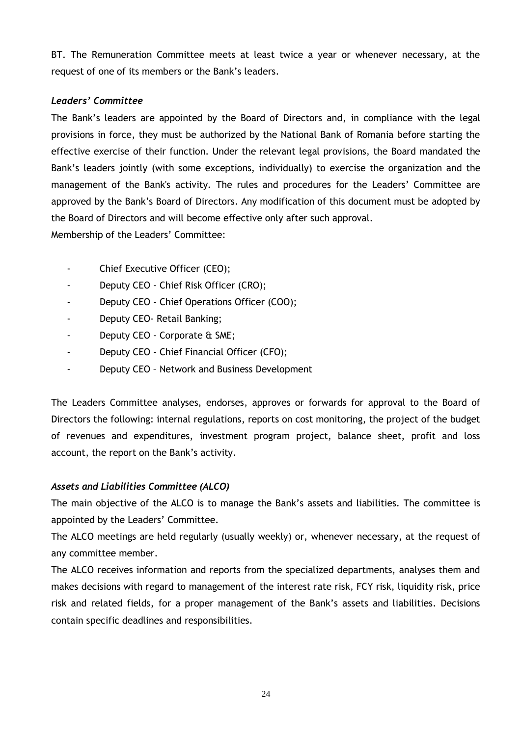BT. The Remuneration Committee meets at least twice a year or whenever necessary, at the request of one of its members or the Bank's leaders.

## *Leaders' Committee*

The Bank's leaders are appointed by the Board of Directors and, in compliance with the legal provisions in force, they must be authorized by the National Bank of Romania before starting the effective exercise of their function. Under the relevant legal provisions, the Board mandated the Bank's leaders jointly (with some exceptions, individually) to exercise the organization and the management of the Bank's activity. The rules and procedures for the Leaders' Committee are approved by the Bank's Board of Directors. Any modification of this document must be adopted by the Board of Directors and will become effective only after such approval.

Membership of the Leaders' Committee:

- Chief Executive Officer (CEO);
- Deputy CEO Chief Risk Officer (CRO);
- Deputy CEO Chief Operations Officer (COO);
- Deputy CEO- Retail Banking;
- Deputy CEO Corporate & SME;
- Deputy CEO Chief Financial Officer (CFO);
- Deputy CEO Network and Business Development

The Leaders Committee analyses, endorses, approves or forwards for approval to the Board of Directors the following: internal regulations, reports on cost monitoring, the project of the budget of revenues and expenditures, investment program project, balance sheet, profit and loss account, the report on the Bank's activity.

## *Assets and Liabilities Committee (ALCO)*

The main objective of the ALCO is to manage the Bank's assets and liabilities. The committee is appointed by the Leaders' Committee.

The ALCO meetings are held regularly (usually weekly) or, whenever necessary, at the request of any committee member.

The ALCO receives information and reports from the specialized departments, analyses them and makes decisions with regard to management of the interest rate risk, FCY risk, liquidity risk, price risk and related fields, for a proper management of the Bank's assets and liabilities. Decisions contain specific deadlines and responsibilities.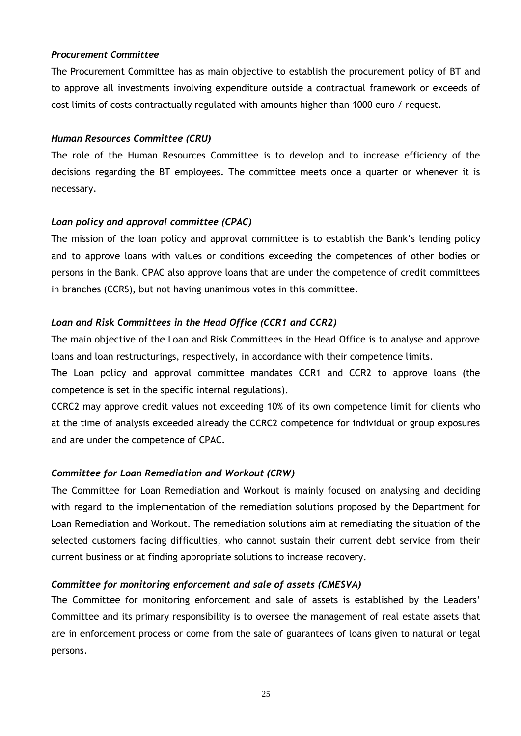## *Procurement Committee*

The Procurement Committee has as main objective to establish the procurement policy of BT and to approve all investments involving expenditure outside a contractual framework or exceeds of cost limits of costs contractually regulated with amounts higher than 1000 euro / request.

## *Human Resources Committee (CRU)*

The role of the Human Resources Committee is to develop and to increase efficiency of the decisions regarding the BT employees. The committee meets once a quarter or whenever it is necessary.

## *Loan policy and approval committee (CPAC)*

The mission of the loan policy and approval committee is to establish the Bank's lending policy and to approve loans with values or conditions exceeding the competences of other bodies or persons in the Bank. CPAC also approve loans that are under the competence of credit committees in branches (CCRS), but not having unanimous votes in this committee.

## *Loan and Risk Committees in the Head Office (CCR1 and CCR2)*

The main objective of the Loan and Risk Committees in the Head Office is to analyse and approve loans and loan restructurings, respectively, in accordance with their competence limits.

The Loan policy and approval committee mandates CCR1 and CCR2 to approve loans (the competence is set in the specific internal regulations).

CCRC2 may approve credit values not exceeding 10% of its own competence limit for clients who at the time of analysis exceeded already the CCRC2 competence for individual or group exposures and are under the competence of CPAC.

## *Committee for Loan Remediation and Workout (CRW)*

The Committee for Loan Remediation and Workout is mainly focused on analysing and deciding with regard to the implementation of the remediation solutions proposed by the Department for Loan Remediation and Workout. The remediation solutions aim at remediating the situation of the selected customers facing difficulties, who cannot sustain their current debt service from their current business or at finding appropriate solutions to increase recovery.

## *Committee for monitoring enforcement and sale of assets (CMESVA)*

The Committee for monitoring enforcement and sale of assets is established by the Leaders' Committee and its primary responsibility is to oversee the management of real estate assets that are in enforcement process or come from the sale of guarantees of loans given to natural or legal persons.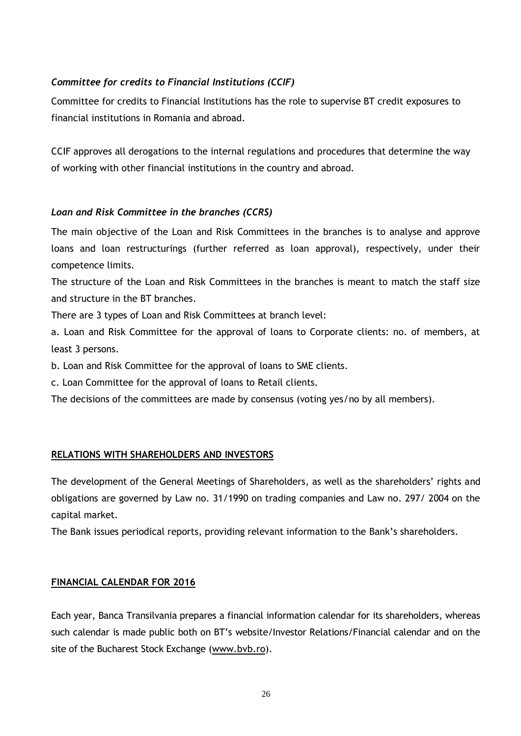## *Committee for credits to Financial Institutions (CCIF)*

Committee for credits to Financial Institutions has the role to supervise BT credit exposures to financial institutions in Romania and abroad.

CCIF approves all derogations to the internal regulations and procedures that determine the way of working with other financial institutions in the country and abroad.

## *Loan and Risk Committee in the branches (CCRS)*

The main objective of the Loan and Risk Committees in the branches is to analyse and approve loans and loan restructurings (further referred as loan approval), respectively, under their competence limits.

The structure of the Loan and Risk Committees in the branches is meant to match the staff size and structure in the BT branches.

There are 3 types of Loan and Risk Committees at branch level:

a. Loan and Risk Committee for the approval of loans to Corporate clients: no. of members, at least 3 persons.

b. Loan and Risk Committee for the approval of loans to SME clients.

c. Loan Committee for the approval of loans to Retail clients.

The decisions of the committees are made by consensus (voting yes/no by all members).

## <span id="page-27-0"></span>**RELATIONS WITH SHAREHOLDERS AND INVESTORS**

The development of the General Meetings of Shareholders, as well as the shareholders' rights and obligations are governed by Law no. 31/1990 on trading companies and Law no. 297/ 2004 on the capital market.

The Bank issues periodical reports, providing relevant information to the Bank's shareholders.

## <span id="page-27-1"></span>**FINANCIAL CALENDAR FOR 2016**

Each year, Banca Transilvania prepares a financial information calendar for its shareholders, whereas such calendar is made public both on BT's website/Investor Relations/Financial calendar and on the site of the Bucharest Stock Exchange [\(www.bvb.ro\)](http://www.bvb.ro/).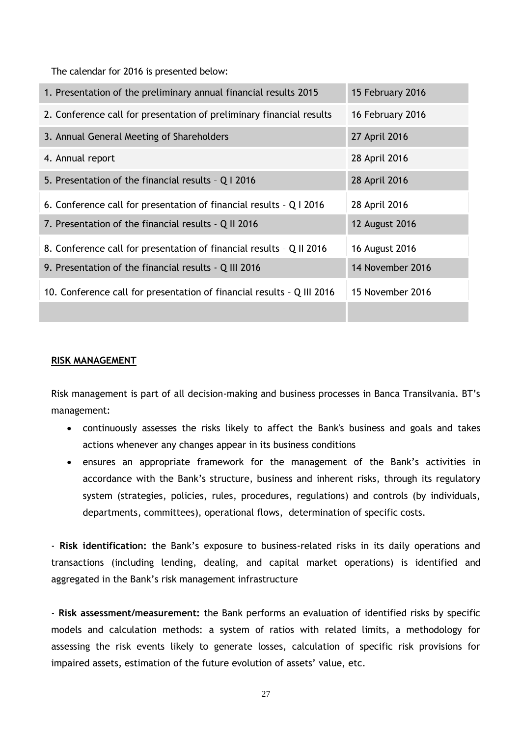The calendar for 2016 is presented below:

| 1. Presentation of the preliminary annual financial results 2015       | 15 February 2016      |
|------------------------------------------------------------------------|-----------------------|
| 2. Conference call for presentation of preliminary financial results   | 16 February 2016      |
| 3. Annual General Meeting of Shareholders                              | 27 April 2016         |
| 4. Annual report                                                       | 28 April 2016         |
| 5. Presentation of the financial results - Q I 2016                    | 28 April 2016         |
| 6. Conference call for presentation of financial results - Q I 2016    | 28 April 2016         |
| 7. Presentation of the financial results - Q II 2016                   | <b>12 August 2016</b> |
| 8. Conference call for presentation of financial results - Q II 2016   | 16 August 2016        |
| 9. Presentation of the financial results - Q III 2016                  | 14 November 2016      |
| 10. Conference call for presentation of financial results - Q III 2016 | 15 November 2016      |
|                                                                        |                       |

#### <span id="page-28-0"></span>**RISK MANAGEMENT**

Risk management is part of all decision-making and business processes in Banca Transilvania. BT's management:

- continuously assesses the risks likely to affect the Bank's business and goals and takes actions whenever any changes appear in its business conditions
- ensures an appropriate framework for the management of the Bank's activities in accordance with the Bank's structure, business and inherent risks, through its regulatory system (strategies, policies, rules, procedures, regulations) and controls (by individuals, departments, committees), operational flows, determination of specific costs.

- **Risk identification:** the Bank's exposure to business-related risks in its daily operations and transactions (including lending, dealing, and capital market operations) is identified and aggregated in the Bank's risk management infrastructure

- **Risk assessment/measurement:** the Bank performs an evaluation of identified risks by specific models and calculation methods: a system of ratios with related limits, a methodology for assessing the risk events likely to generate losses, calculation of specific risk provisions for impaired assets, estimation of the future evolution of assets' value, etc.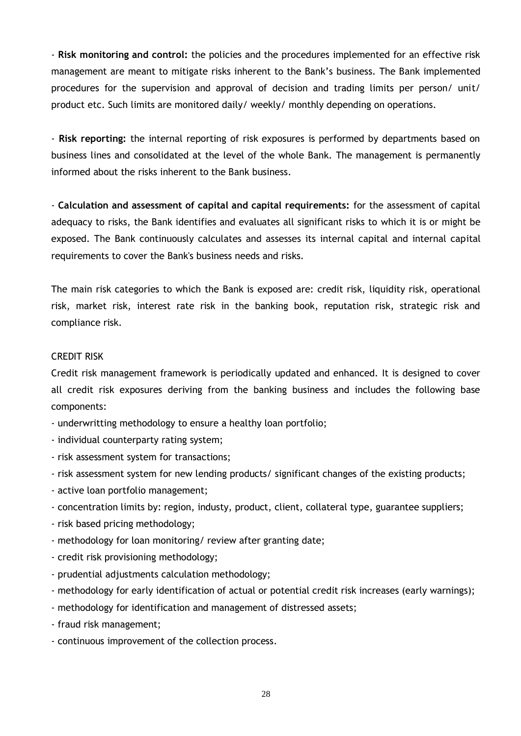- **Risk monitoring and control:** the policies and the procedures implemented for an effective risk management are meant to mitigate risks inherent to the Bank's business. The Bank implemented procedures for the supervision and approval of decision and trading limits per person/ unit/ product etc. Such limits are monitored daily/ weekly/ monthly depending on operations.

- **Risk reporting:** the internal reporting of risk exposures is performed by departments based on business lines and consolidated at the level of the whole Bank. The management is permanently informed about the risks inherent to the Bank business.

- **Calculation and assessment of capital and capital requirements:** for the assessment of capital adequacy to risks, the Bank identifies and evaluates all significant risks to which it is or might be exposed. The Bank continuously calculates and assesses its internal capital and internal capital requirements to cover the Bank's business needs and risks.

The main risk categories to which the Bank is exposed are: credit risk, liquidity risk, operational risk, market risk, interest rate risk in the banking book, reputation risk, strategic risk and compliance risk.

#### CREDIT RISK

Credit risk management framework is periodically updated and enhanced. It is designed to cover all credit risk exposures deriving from the banking business and includes the following base components:

- underwritting methodology to ensure a healthy loan portfolio;
- individual counterparty rating system;
- risk assessment system for transactions;
- risk assessment system for new lending products/ significant changes of the existing products;
- active loan portfolio management;
- concentration limits by: region, industy, product, client, collateral type, guarantee suppliers;
- risk based pricing methodology;
- methodology for loan monitoring/ review after granting date;
- credit risk provisioning methodology;
- prudential adjustments calculation methodology;
- methodology for early identification of actual or potential credit risk increases (early warnings);
- methodology for identification and management of distressed assets;
- fraud risk management;
- continuous improvement of the collection process.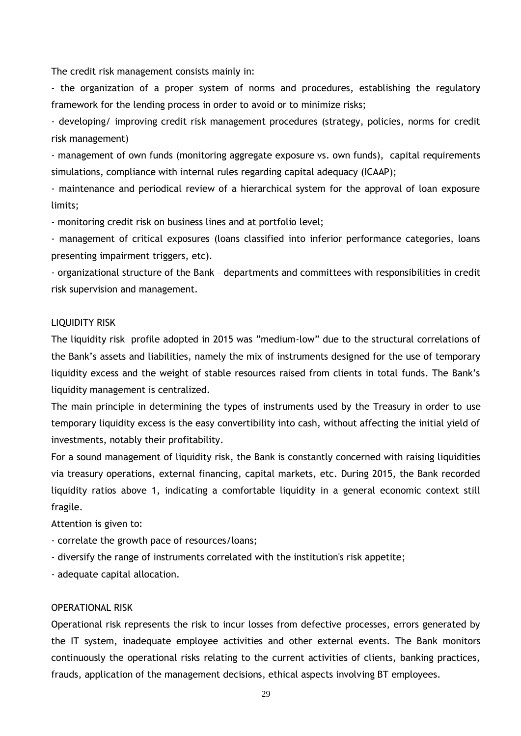The credit risk management consists mainly in:

- the organization of a proper system of norms and procedures, establishing the regulatory framework for the lending process in order to avoid or to minimize risks;

- developing/ improving credit risk management procedures (strategy, policies, norms for credit risk management)

- management of own funds (monitoring aggregate exposure vs. own funds), capital requirements simulations, compliance with internal rules regarding capital adequacy (ICAAP);

- maintenance and periodical review of a hierarchical system for the approval of loan exposure limits;

- monitoring credit risk on business lines and at portfolio level;

- management of critical exposures (loans classified into inferior performance categories, loans presenting impairment triggers, etc).

- organizational structure of the Bank – departments and committees with responsibilities in credit risk supervision and management.

#### LIQUIDITY RISK

The liquidity risk profile adopted in 2015 was "medium-low" due to the structural correlations of the Bank's assets and liabilities, namely the mix of instruments designed for the use of temporary liquidity excess and the weight of stable resources raised from clients in total funds. The Bank's liquidity management is centralized.

The main principle in determining the types of instruments used by the Treasury in order to use temporary liquidity excess is the easy convertibility into cash, without affecting the initial yield of investments, notably their profitability.

For a sound management of liquidity risk, the Bank is constantly concerned with raising liquidities via treasury operations, external financing, capital markets, etc. During 2015, the Bank recorded liquidity ratios above 1, indicating a comfortable liquidity in a general economic context still fragile.

Attention is given to:

- correlate the growth pace of resources/loans;
- diversify the range of instruments correlated with the institution's risk appetite;
- adequate capital allocation.

## OPERATIONAL RISK

Operational risk represents the risk to incur losses from defective processes, errors generated by the IT system, inadequate employee activities and other external events. The Bank monitors continuously the operational risks relating to the current activities of clients, banking practices, frauds, application of the management decisions, ethical aspects involving BT employees.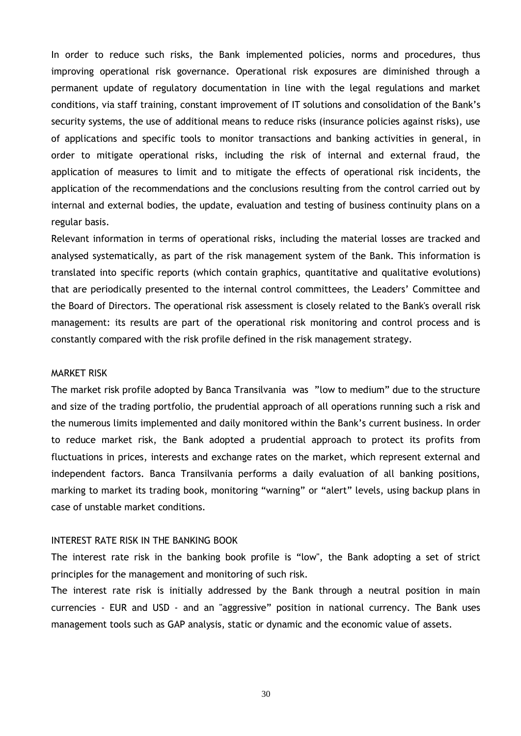In order to reduce such risks, the Bank implemented policies, norms and procedures, thus improving operational risk governance. Operational risk exposures are diminished through a permanent update of regulatory documentation in line with the legal regulations and market conditions, via staff training, constant improvement of IT solutions and consolidation of the Bank's security systems, the use of additional means to reduce risks (insurance policies against risks), use of applications and specific tools to monitor transactions and banking activities in general, in order to mitigate operational risks, including the risk of internal and external fraud, the application of measures to limit and to mitigate the effects of operational risk incidents, the application of the recommendations and the conclusions resulting from the control carried out by internal and external bodies, the update, evaluation and testing of business continuity plans on a regular basis.

Relevant information in terms of operational risks, including the material losses are tracked and analysed systematically, as part of the risk management system of the Bank. This information is translated into specific reports (which contain graphics, quantitative and qualitative evolutions) that are periodically presented to the internal control committees, the Leaders' Committee and the Board of Directors. The operational risk assessment is closely related to the Bank's overall risk management: its results are part of the operational risk monitoring and control process and is constantly compared with the risk profile defined in the risk management strategy.

#### MARKET RISK

The market risk profile adopted by Banca Transilvania was "low to medium" due to the structure and size of the trading portfolio, the prudential approach of all operations running such a risk and the numerous limits implemented and daily monitored within the Bank's current business. In order to reduce market risk, the Bank adopted a prudential approach to protect its profits from fluctuations in prices, interests and exchange rates on the market, which represent external and independent factors. Banca Transilvania performs a daily evaluation of all banking positions, marking to market its trading book, monitoring "warning" or "alert" levels, using backup plans in case of unstable market conditions.

#### INTEREST RATE RISK IN THE BANKING BOOK

The interest rate risk in the banking book profile is "low", the Bank adopting a set of strict principles for the management and monitoring of such risk.

The interest rate risk is initially addressed by the Bank through a neutral position in main currencies - EUR and USD - and an "aggressive" position in national currency. The Bank uses management tools such as GAP analysis, static or dynamic and the economic value of assets.

30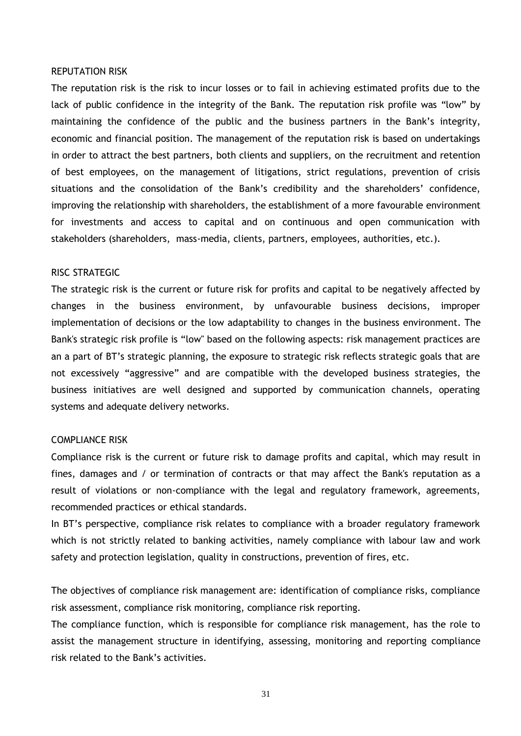#### REPUTATION RISK

The reputation risk is the risk to incur losses or to fail in achieving estimated profits due to the lack of public confidence in the integrity of the Bank. The reputation risk profile was "low" by maintaining the confidence of the public and the business partners in the Bank's integrity, economic and financial position. The management of the reputation risk is based on undertakings in order to attract the best partners, both clients and suppliers, on the recruitment and retention of best employees, on the management of litigations, strict regulations, prevention of crisis situations and the consolidation of the Bank's credibility and the shareholders' confidence, improving the relationship with shareholders, the establishment of a more favourable environment for investments and access to capital and on continuous and open communication with stakeholders (shareholders, mass-media, clients, partners, employees, authorities, etc.).

#### RISC STRATEGIC

The strategic risk is the current or future risk for profits and capital to be negatively affected by changes in the business environment, by unfavourable business decisions, improper implementation of decisions or the low adaptability to changes in the business environment. The Bank's strategic risk profile is "low" based on the following aspects: risk management practices are an a part of BT's strategic planning, the exposure to strategic risk reflects strategic goals that are not excessively "aggressive" and are compatible with the developed business strategies, the business initiatives are well designed and supported by communication channels, operating systems and adequate delivery networks.

#### COMPLIANCE RISK

Compliance risk is the current or future risk to damage profits and capital, which may result in fines, damages and / or termination of contracts or that may affect the Bank's reputation as a result of violations or non-compliance with the legal and regulatory framework, agreements, recommended practices or ethical standards.

In BT's perspective, compliance risk relates to compliance with a broader regulatory framework which is not strictly related to banking activities, namely compliance with labour law and work safety and protection legislation, quality in constructions, prevention of fires, etc.

The objectives of compliance risk management are: identification of compliance risks, compliance risk assessment, compliance risk monitoring, compliance risk reporting.

The compliance function, which is responsible for compliance risk management, has the role to assist the management structure in identifying, assessing, monitoring and reporting compliance risk related to the Bank's activities.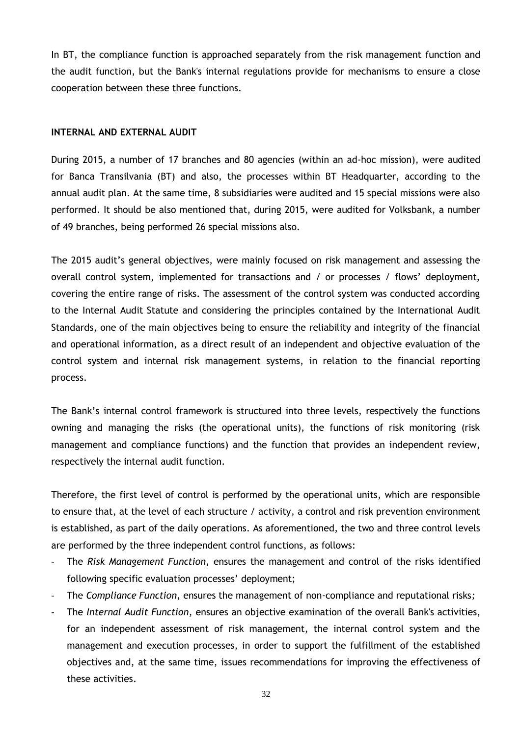In BT, the compliance function is approached separately from the risk management function and the audit function, but the Bank's internal regulations provide for mechanisms to ensure a close cooperation between these three functions.

## **INTERNAL AND EXTERNAL AUDIT**

During 2015, a number of 17 branches and 80 agencies (within an ad-hoc mission), were audited for Banca Transilvania (BT) and also, the processes within BT Headquarter, according to the annual audit plan. At the same time, 8 subsidiaries were audited and 15 special missions were also performed. It should be also mentioned that, during 2015, were audited for Volksbank, a number of 49 branches, being performed 26 special missions also.

The 2015 audit's general objectives, were mainly focused on risk management and assessing the overall control system, implemented for transactions and / or processes / flows' deployment, covering the entire range of risks. The assessment of the control system was conducted according to the Internal Audit Statute and considering the principles contained by the International Audit Standards, one of the main objectives being to ensure the reliability and integrity of the financial and operational information, as a direct result of an independent and objective evaluation of the control system and internal risk management systems, in relation to the financial reporting process.

The Bank's internal control framework is structured into three levels, respectively the functions owning and managing the risks (the operational units), the functions of risk monitoring (risk management and compliance functions) and the function that provides an independent review, respectively the internal audit function.

Therefore, the first level of control is performed by the operational units, which are responsible to ensure that, at the level of each structure / activity, a control and risk prevention environment is established, as part of the daily operations. As aforementioned, the two and three control levels are performed by the three independent control functions, as follows:

- The *Risk Management Function*, ensures the management and control of the risks identified following specific evaluation processes' deployment;
- The *Compliance Function*, ensures the management of non-compliance and reputational risks*;*
- The *Internal Audit Function*, ensures an objective examination of the overall Bank's activities, for an independent assessment of risk management, the internal control system and the management and execution processes, in order to support the fulfillment of the established objectives and, at the same time, issues recommendations for improving the effectiveness of these activities.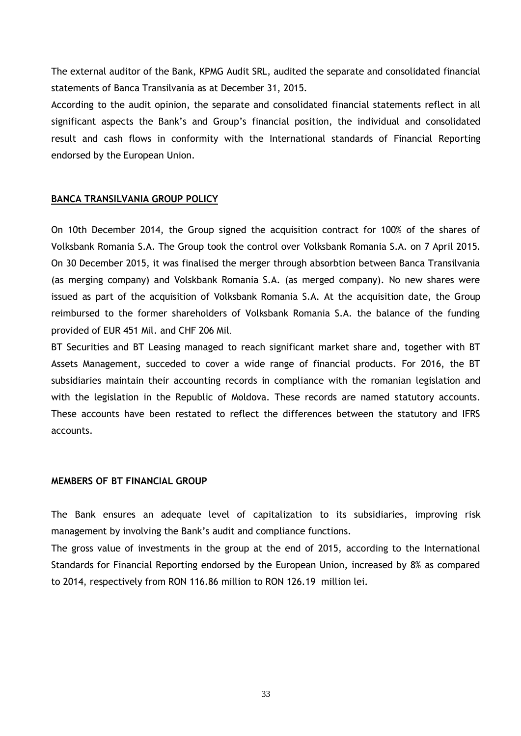The external auditor of the Bank, KPMG Audit SRL, audited the separate and consolidated financial statements of Banca Transilvania as at December 31, 2015.

According to the audit opinion, the separate and consolidated financial statements reflect in all significant aspects the Bank's and Group's financial position, the individual and consolidated result and cash flows in conformity with the International standards of Financial Reporting endorsed by the European Union.

## <span id="page-34-0"></span>**BANCA TRANSILVANIA GROUP POLICY**

On 10th December 2014, the Group signed the acquisition contract for 100% of the shares of Volksbank Romania S.A. The Group took the control over Volksbank Romania S.A. on 7 April 2015. On 30 December 2015, it was finalised the merger through absorbtion between Banca Transilvania (as merging company) and Volskbank Romania S.A. (as merged company). No new shares were issued as part of the acquisition of Volksbank Romania S.A. At the acquisition date, the Group reimbursed to the former shareholders of Volksbank Romania S.A. the balance of the funding provided of EUR 451 Mil. and CHF 206 Mil.

BT Securities and BT Leasing managed to reach significant market share and, together with BT Assets Management, succeded to cover a wide range of financial products. For 2016, the BT subsidiaries maintain their accounting records in compliance with the romanian legislation and with the legislation in the Republic of Moldova. These records are named statutory accounts. These accounts have been restated to reflect the differences between the statutory and IFRS accounts.

## <span id="page-34-1"></span>**MEMBERS OF BT FINANCIAL GROUP**

The Bank ensures an adequate level of capitalization to its subsidiaries, improving risk management by involving the Bank's audit and compliance functions.

The gross value of investments in the group at the end of 2015, according to the International Standards for Financial Reporting endorsed by the European Union, increased by 8% as compared to 2014, respectively from RON 116.86 million to RON 126.19 million lei.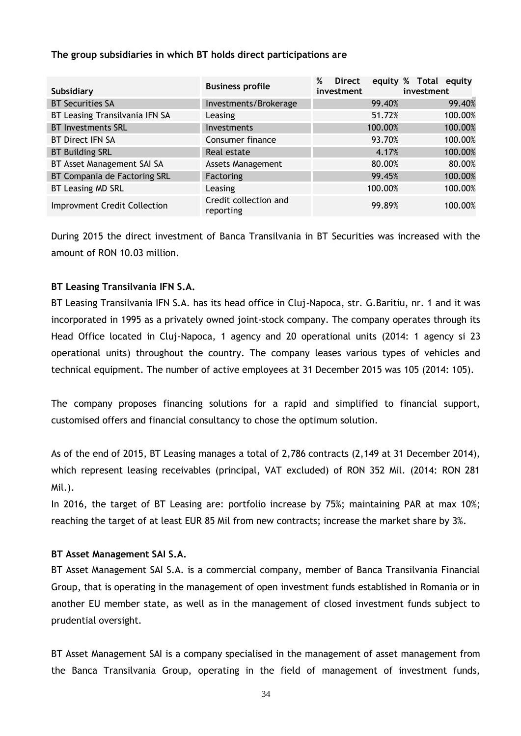## **The group subsidiaries in which BT holds direct participations are**

| Subsidiary                          | <b>Business profile</b>            | %<br><b>Direct</b><br>investment | equity % Total equity<br>investment |
|-------------------------------------|------------------------------------|----------------------------------|-------------------------------------|
| <b>BT Securities SA</b>             | Investments/Brokerage              | 99.40%                           | 99.40%                              |
| BT Leasing Transilvania IFN SA      | Leasing                            | 51.72%                           | 100.00%                             |
| <b>BT Investments SRL</b>           | Investments                        | 100.00%                          | 100.00%                             |
| <b>BT Direct IFN SA</b>             | Consumer finance                   | 93.70%                           | 100.00%                             |
| <b>BT Building SRL</b>              | Real estate                        | 4.17%                            | 100.00%                             |
| BT Asset Management SAI SA          | <b>Assets Management</b>           | 80.00%                           | 80.00%                              |
| BT Compania de Factoring SRL        | Factoring                          | 99.45%                           | 100.00%                             |
| BT Leasing MD SRL                   | Leasing                            | 100.00%                          | 100.00%                             |
| <b>Improvment Credit Collection</b> | Credit collection and<br>reporting | 99.89%                           | 100.00%                             |

During 2015 the direct investment of Banca Transilvania in BT Securities was increased with the amount of RON 10.03 million.

## **BT Leasing Transilvania IFN S.A.**

BT Leasing Transilvania IFN S.A. has its head office in Cluj-Napoca, str. G.Baritiu, nr. 1 and it was incorporated in 1995 as a privately owned joint-stock company. The company operates through its Head Office located in Cluj-Napoca, 1 agency and 20 operational units (2014: 1 agency si 23 operational units) throughout the country. The company leases various types of vehicles and technical equipment. The number of active employees at 31 December 2015 was 105 (2014: 105).

The company proposes financing solutions for a rapid and simplified to financial support, customised offers and financial consultancy to chose the optimum solution.

As of the end of 2015, BT Leasing manages a total of 2,786 contracts (2,149 at 31 December 2014), which represent leasing receivables (principal, VAT excluded) of RON 352 Mil. (2014: RON 281 Mil.).

In 2016, the target of BT Leasing are: portfolio increase by 75%; maintaining PAR at max 10%; reaching the target of at least EUR 85 Mil from new contracts; increase the market share by 3%.

## **BT Asset Management SAI S.A.**

BT Asset Management SAI S.A. is a commercial company, member of Banca Transilvania Financial Group, that is operating in the management of open investment funds established in Romania or in another EU member state, as well as in the management of closed investment funds subject to prudential oversight.

BT Asset Management SAI is a company specialised in the management of asset management from the Banca Transilvania Group, operating in the field of management of investment funds,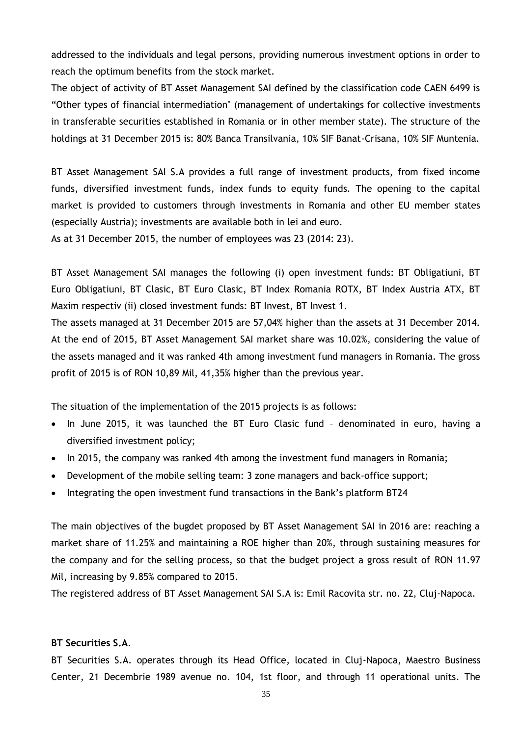addressed to the individuals and legal persons, providing numerous investment options in order to reach the optimum benefits from the stock market.

The object of activity of BT Asset Management SAI defined by the classification code CAEN 6499 is "Other types of financial intermediation" (management of undertakings for collective investments in transferable securities established in Romania or in other member state). The structure of the holdings at 31 December 2015 is: 80% Banca Transilvania, 10% SIF Banat-Crisana, 10% SIF Muntenia.

BT Asset Management SAI S.A provides a full range of investment products, from fixed income funds, diversified investment funds, index funds to equity funds. The opening to the capital market is provided to customers through investments in Romania and other EU member states (especially Austria); investments are available both in lei and euro.

As at 31 December 2015, the number of employees was 23 (2014: 23).

BT Asset Management SAI manages the following (i) open investment funds: BT Obligatiuni, BT Euro Obligatiuni, BT Clasic, BT Euro Clasic, BT Index Romania ROTX, BT Index Austria ATX, BT Maxim respectiv (ii) closed investment funds: BT Invest, BT Invest 1.

The assets managed at 31 December 2015 are 57,04% higher than the assets at 31 December 2014. At the end of 2015, BT Asset Management SAI market share was 10.02%, considering the value of the assets managed and it was ranked 4th among investment fund managers in Romania. The gross profit of 2015 is of RON 10,89 Mil, 41,35% higher than the previous year.

The situation of the implementation of the 2015 projects is as follows:

- In June 2015, it was launched the BT Euro Clasic fund denominated in euro, having a diversified investment policy;
- In 2015, the company was ranked 4th among the investment fund managers in Romania;
- Development of the mobile selling team: 3 zone managers and back-office support;
- Integrating the open investment fund transactions in the Bank's platform BT24

The main objectives of the bugdet proposed by BT Asset Management SAI in 2016 are: reaching a market share of 11.25% and maintaining a ROE higher than 20%, through sustaining measures for the company and for the selling process, so that the budget project a gross result of RON 11.97 Mil, increasing by 9.85% compared to 2015.

The registered address of BT Asset Management SAI S.A is: Emil Racovita str. no. 22, Cluj-Napoca.

#### **BT Securities S.A**.

BT Securities S.A. operates through its Head Office, located in Cluj-Napoca, Maestro Business Center, 21 Decembrie 1989 avenue no. 104, 1st floor, and through 11 operational units. The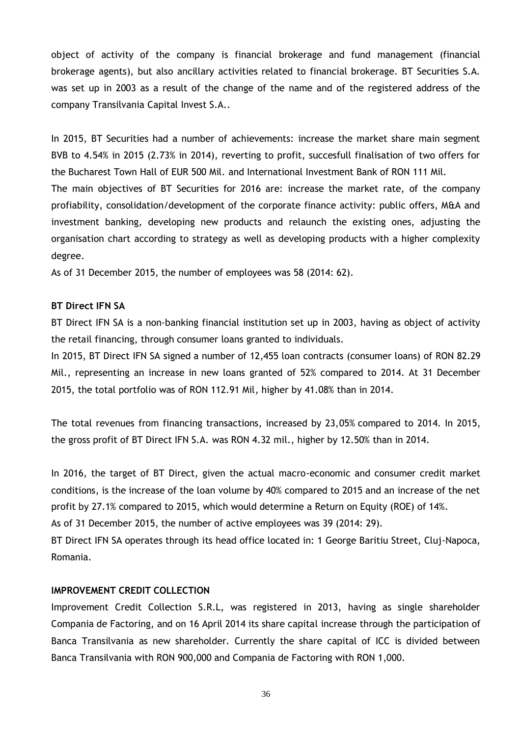object of activity of the company is financial brokerage and fund management (financial brokerage agents), but also ancillary activities related to financial brokerage. BT Securities S.A. was set up in 2003 as a result of the change of the name and of the registered address of the company Transilvania Capital Invest S.A..

In 2015, BT Securities had a number of achievements: increase the market share main segment BVB to 4.54% in 2015 (2.73% in 2014), reverting to profit, succesfull finalisation of two offers for the Bucharest Town Hall of EUR 500 Mil. and International Investment Bank of RON 111 Mil. The main objectives of BT Securities for 2016 are: increase the market rate, of the company profiability, consolidation/development of the corporate finance activity: public offers, M&A and investment banking, developing new products and relaunch the existing ones, adjusting the organisation chart according to strategy as well as developing products with a higher complexity degree.

As of 31 December 2015, the number of employees was 58 (2014: 62).

## **BT Direct IFN SA**

BT Direct IFN SA is a non-banking financial institution set up in 2003, having as object of activity the retail financing, through consumer loans granted to individuals.

In 2015, BT Direct IFN SA signed a number of 12,455 loan contracts (consumer loans) of RON 82.29 Mil., representing an increase in new loans granted of 52% compared to 2014. At 31 December 2015, the total portfolio was of RON 112.91 Mil, higher by 41.08% than in 2014.

The total revenues from financing transactions, increased by 23,05% compared to 2014. In 2015, the gross profit of BT Direct IFN S.A. was RON 4.32 mil., higher by 12.50% than in 2014.

In 2016, the target of BT Direct, given the actual macro-economic and consumer credit market conditions, is the increase of the loan volume by 40% compared to 2015 and an increase of the net profit by 27.1% compared to 2015, which would determine a Return on Equity (ROE) of 14%. As of 31 December 2015, the number of active employees was 39 (2014: 29).

BT Direct IFN SA operates through its head office located in: 1 George Baritiu Street, Cluj-Napoca, Romania.

## **IMPROVEMENT CREDIT COLLECTION**

Improvement Credit Collection S.R.L, was registered in 2013, having as single shareholder Compania de Factoring, and on 16 April 2014 its share capital increase through the participation of Banca Transilvania as new shareholder. Currently the share capital of ICC is divided between Banca Transilvania with RON 900,000 and Compania de Factoring with RON 1,000.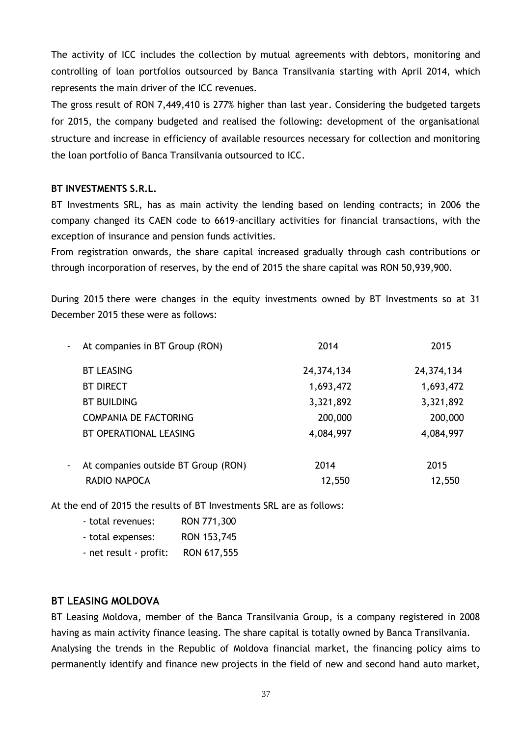The activity of ICC includes the collection by mutual agreements with debtors, monitoring and controlling of loan portfolios outsourced by Banca Transilvania starting with April 2014, which represents the main driver of the ICC revenues.

The gross result of RON 7,449,410 is 277% higher than last year. Considering the budgeted targets for 2015, the company budgeted and realised the following: development of the organisational structure and increase in efficiency of available resources necessary for collection and monitoring the loan portfolio of Banca Transilvania outsourced to ICC.

## **BT INVESTMENTS S.R.L.**

BT Investments SRL, has as main activity the lending based on lending contracts; in 2006 the company changed its CAEN code to 6619-ancillary activities for financial transactions, with the exception of insurance and pension funds activities.

From registration onwards, the share capital increased gradually through cash contributions or through incorporation of reserves, by the end of 2015 the share capital was RON 50,939,900.

During 2015 there were changes in the equity investments owned by BT Investments so at 31 December 2015 these were as follows:

| $\blacksquare$ | At companies in BT Group (RON)      | 2014       | 2015       |
|----------------|-------------------------------------|------------|------------|
|                | <b>BT LEASING</b>                   | 24,374,134 | 24,374,134 |
|                | <b>BT DIRECT</b>                    | 1,693,472  | 1,693,472  |
|                | <b>BT BUILDING</b>                  | 3,321,892  | 3,321,892  |
|                | COMPANIA DE FACTORING               | 200,000    | 200,000    |
|                | BT OPERATIONAL LEASING              | 4,084,997  | 4,084,997  |
| ۰              | At companies outside BT Group (RON) | 2014       | 2015       |
|                | RADIO NAPOCA                        | 12,550     | 12,550     |
|                |                                     |            |            |

At the end of 2015 the results of BT Investments SRL are as follows:

| - total revenues:      | RON 771,300 |
|------------------------|-------------|
| - total expenses:      | RON 153,745 |
| - net result - profit: | RON 617,555 |

## **BT LEASING MOLDOVA**

BT Leasing Moldova, member of the Banca Transilvania Group, is a company registered in 2008 having as main activity finance leasing. The share capital is totally owned by Banca Transilvania. Analysing the trends in the Republic of Moldova financial market, the financing policy aims to permanently identify and finance new projects in the field of new and second hand auto market,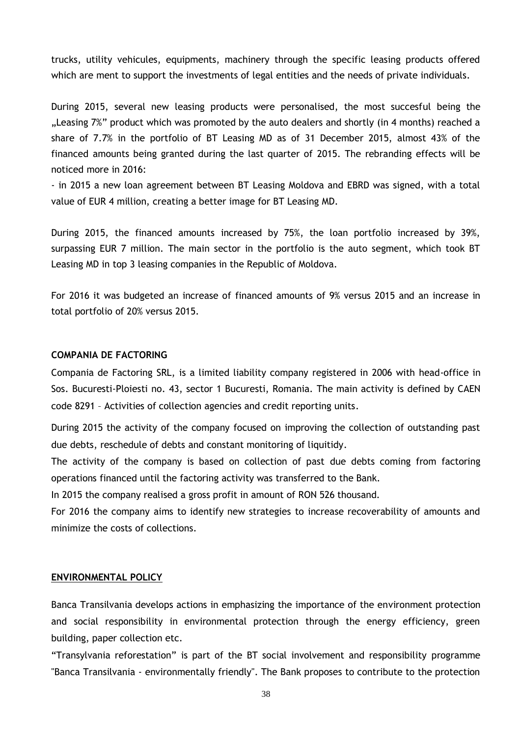trucks, utility vehicules, equipments, machinery through the specific leasing products offered which are ment to support the investments of legal entities and the needs of private individuals.

During 2015, several new leasing products were personalised, the most succesful being the "Leasing 7%" product which was promoted by the auto dealers and shortly (in 4 months) reached a share of 7.7% in the portfolio of BT Leasing MD as of 31 December 2015, almost 43% of the financed amounts being granted during the last quarter of 2015. The rebranding effects will be noticed more in 2016:

- in 2015 a new loan agreement between BT Leasing Moldova and EBRD was signed, with a total value of EUR 4 million, creating a better image for BT Leasing MD.

During 2015, the financed amounts increased by 75%, the loan portfolio increased by 39%, surpassing EUR 7 million. The main sector in the portfolio is the auto segment, which took BT Leasing MD in top 3 leasing companies in the Republic of Moldova.

For 2016 it was budgeted an increase of financed amounts of 9% versus 2015 and an increase in total portfolio of 20% versus 2015.

#### **COMPANIA DE FACTORING**

Compania de Factoring SRL, is a limited liability company registered in 2006 with head-office in Sos. Bucuresti-Ploiesti no. 43, sector 1 Bucuresti, Romania. The main activity is defined by CAEN code 8291 – Activities of collection agencies and credit reporting units.

During 2015 the activity of the company focused on improving the collection of outstanding past due debts, reschedule of debts and constant monitoring of liquitidy.

The activity of the company is based on collection of past due debts coming from factoring operations financed until the factoring activity was transferred to the Bank.

In 2015 the company realised a gross profit in amount of RON 526 thousand.

For 2016 the company aims to identify new strategies to increase recoverability of amounts and minimize the costs of collections.

#### <span id="page-39-0"></span>**ENVIRONMENTAL POLICY**

Banca Transilvania develops actions in emphasizing the importance of the environment protection and social responsibility in environmental protection through the energy efficiency, green building, paper collection etc.

"Transylvania reforestation" is part of the BT social involvement and responsibility programme "Banca Transilvania - environmentally friendly". The Bank proposes to contribute to the protection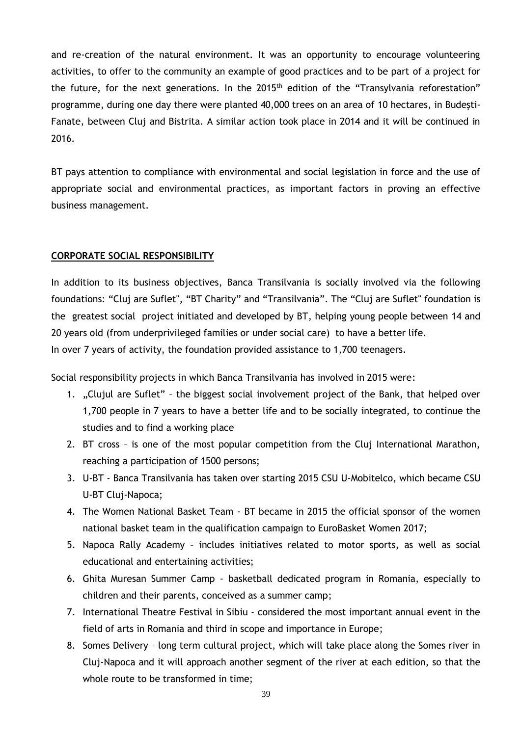and re-creation of the natural environment. It was an opportunity to encourage volunteering activities, to offer to the community an example of good practices and to be part of a project for the future, for the next generations. In the 2015<sup>th</sup> edition of the "Transylvania reforestation" programme, during one day there were planted 40,000 trees on an area of 10 hectares, in Budeşti-Fanate, between Cluj and Bistrita. A similar action took place in 2014 and it will be continued in 2016.

BT pays attention to compliance with environmental and social legislation in force and the use of appropriate social and environmental practices, as important factors in proving an effective business management.

## <span id="page-40-0"></span>**CORPORATE SOCIAL RESPONSIBILITY**

In addition to its business objectives, Banca Transilvania is socially involved via the following foundations: "Cluj are Suflet", "BT Charity" and "Transilvania". The "Cluj are Suflet" foundation is the greatest social project initiated and developed by BT, helping young people between 14 and 20 years old (from underprivileged families or under social care) to have a better life. In over 7 years of activity, the foundation provided assistance to 1,700 teenagers.

Social responsibility projects in which Banca Transilvania has involved in 2015 were:

- 1. "Clujul are Suflet" the biggest social involvement project of the Bank, that helped over 1,700 people in 7 years to have a better life and to be socially integrated, to continue the studies and to find a working place
- 2. BT cross is one of the most popular competition from the Cluj International Marathon, reaching a participation of 1500 persons;
- 3. U-BT Banca Transilvania has taken over starting 2015 CSU U-Mobitelco, which became CSU U-BT Cluj-Napoca;
- 4. The Women National Basket Team BT became in 2015 the official sponsor of the women national basket team in the qualification campaign to EuroBasket Women 2017;
- 5. Napoca Rally Academy includes initiatives related to motor sports, as well as social educational and entertaining activities;
- 6. Ghita Muresan Summer Camp basketball dedicated program in Romania, especially to children and their parents, conceived as a summer camp;
- 7. International Theatre Festival in Sibiu considered the most important annual event in the field of arts in Romania and third in scope and importance in Europe;
- 8. Somes Delivery long term cultural project, which will take place along the Somes river in Cluj-Napoca and it will approach another segment of the river at each edition, so that the whole route to be transformed in time;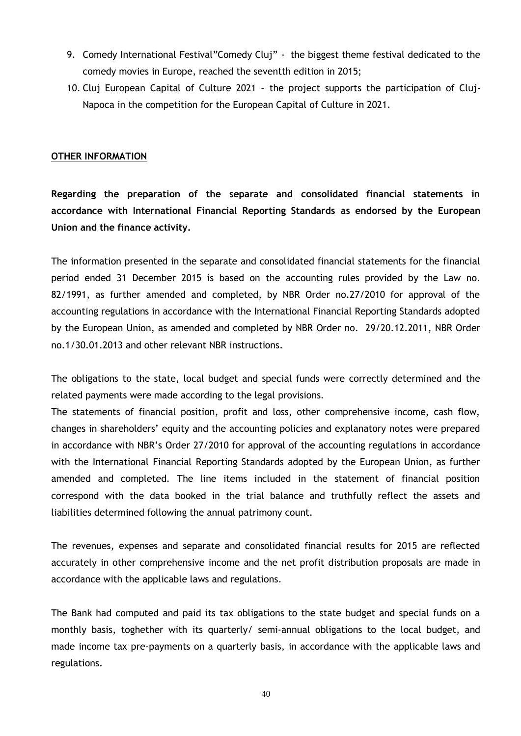- 9. Comedy International Festival"Comedy Cluj" the biggest theme festival dedicated to the comedy movies in Europe, reached the seventth edition in 2015;
- 10. Cluj European Capital of Culture 2021 the project supports the participation of Cluj-Napoca in the competition for the European Capital of Culture in 2021.

## <span id="page-41-0"></span>**OTHER INFORMATION**

**Regarding the preparation of the separate and consolidated financial statements in accordance with International Financial Reporting Standards as endorsed by the European Union and the finance activity.**

The information presented in the separate and consolidated financial statements for the financial period ended 31 December 2015 is based on the accounting rules provided by the Law no. 82/1991, as further amended and completed, by NBR Order no.27/2010 for approval of the accounting regulations in accordance with the International Financial Reporting Standards adopted by the European Union, as amended and completed by NBR Order no. 29/20.12.2011, NBR Order no.1/30.01.2013 and other relevant NBR instructions.

The obligations to the state, local budget and special funds were correctly determined and the related payments were made according to the legal provisions.

The statements of financial position, profit and loss, other comprehensive income, cash flow, changes in shareholders' equity and the accounting policies and explanatory notes were prepared in accordance with NBR's Order 27/2010 for approval of the accounting regulations in accordance with the International Financial Reporting Standards adopted by the European Union, as further amended and completed. The line items included in the statement of financial position correspond with the data booked in the trial balance and truthfully reflect the assets and liabilities determined following the annual patrimony count.

The revenues, expenses and separate and consolidated financial results for 2015 are reflected accurately in other comprehensive income and the net profit distribution proposals are made in accordance with the applicable laws and regulations.

The Bank had computed and paid its tax obligations to the state budget and special funds on a monthly basis, toghether with its quarterly/ semi-annual obligations to the local budget, and made income tax pre-payments on a quarterly basis, in accordance with the applicable laws and regulations.

40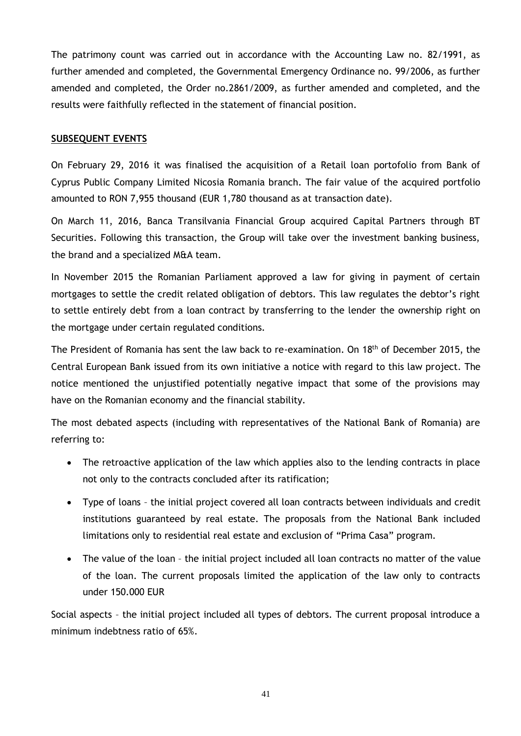The patrimony count was carried out in accordance with the Accounting Law no. 82/1991, as further amended and completed, the Governmental Emergency Ordinance no. 99/2006, as further amended and completed, the Order no.2861/2009, as further amended and completed, and the results were faithfully reflected in the statement of financial position.

## <span id="page-42-0"></span>**SUBSEQUENT EVENTS**

On February 29, 2016 it was finalised the acquisition of a Retail loan portofolio from Bank of Cyprus Public Company Limited Nicosia Romania branch. The fair value of the acquired portfolio amounted to RON 7,955 thousand (EUR 1,780 thousand as at transaction date).

On March 11, 2016, Banca Transilvania Financial Group acquired Capital Partners through BT Securities. Following this transaction, the Group will take over the investment banking business, the brand and a specialized M&A team.

In November 2015 the Romanian Parliament approved a law for giving in payment of certain mortgages to settle the credit related obligation of debtors. This law regulates the debtor's right to settle entirely debt from a loan contract by transferring to the lender the ownership right on the mortgage under certain regulated conditions.

The President of Romania has sent the law back to re-examination. On 18<sup>th</sup> of December 2015, the Central European Bank issued from its own initiative a notice with regard to this law project. The notice mentioned the unjustified potentially negative impact that some of the provisions may have on the Romanian economy and the financial stability.

The most debated aspects (including with representatives of the National Bank of Romania) are referring to:

- The retroactive application of the law which applies also to the lending contracts in place not only to the contracts concluded after its ratification;
- Type of loans the initial project covered all loan contracts between individuals and credit institutions guaranteed by real estate. The proposals from the National Bank included limitations only to residential real estate and exclusion of "Prima Casa" program.
- The value of the loan the initial project included all loan contracts no matter of the value of the loan. The current proposals limited the application of the law only to contracts under 150.000 EUR

Social aspects – the initial project included all types of debtors. The current proposal introduce a minimum indebtness ratio of 65%.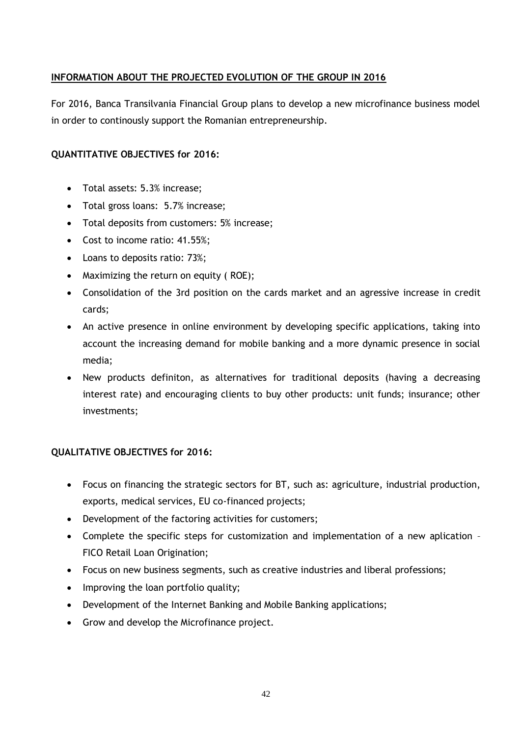## <span id="page-43-0"></span>**INFORMATION ABOUT THE PROJECTED EVOLUTION OF THE GROUP IN 2016**

For 2016, Banca Transilvania Financial Group plans to develop a new microfinance business model in order to continously support the Romanian entrepreneurship.

## **QUANTITATIVE OBJECTIVES for 2016:**

- Total assets: 5.3% increase;
- Total gross loans: 5.7% increase;
- Total deposits from customers: 5% increase;
- Cost to income ratio: 41.55%;
- Loans to deposits ratio: 73%;
- Maximizing the return on equity (ROE);
- Consolidation of the 3rd position on the cards market and an agressive increase in credit cards;
- An active presence in online environment by developing specific applications, taking into account the increasing demand for mobile banking and a more dynamic presence in social media;
- New products definiton, as alternatives for traditional deposits (having a decreasing interest rate) and encouraging clients to buy other products: unit funds; insurance; other investments;

## **QUALITATIVE OBJECTIVES for 2016:**

- Focus on financing the strategic sectors for BT, such as: agriculture, industrial production, exports, medical services, EU co-financed projects;
- Development of the factoring activities for customers;
- Complete the specific steps for customization and implementation of a new aplication FICO Retail Loan Origination;
- Focus on new business segments, such as creative industries and liberal professions;
- Improving the loan portfolio quality;
- Development of the Internet Banking and Mobile Banking applications;
- Grow and develop the Microfinance project.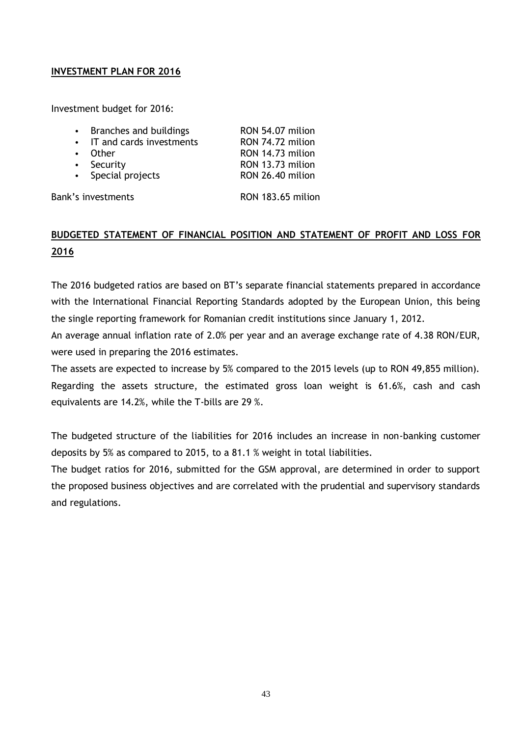## <span id="page-44-0"></span>**INVESTMENT PLAN FOR 2016**

Investment budget for 2016:

| Branches and buildings   | RON 54.07 milion |
|--------------------------|------------------|
| IT and cards investments | RON 74.72 milion |
| • Other                  | RON 14.73 milion |
| • Security               | RON 13.73 milion |
| • Special projects       | RON 26.40 milion |
|                          |                  |

Bank's investments RON 183.65 milion

## <span id="page-44-1"></span>**BUDGETED STATEMENT OF FINANCIAL POSITION AND STATEMENT OF PROFIT AND LOSS FOR 2016**

The 2016 budgeted ratios are based on BT's separate financial statements prepared in accordance with the International Financial Reporting Standards adopted by the European Union, this being the single reporting framework for Romanian credit institutions since January 1, 2012.

An average annual inflation rate of 2.0% per year and an average exchange rate of 4.38 RON/EUR, were used in preparing the 2016 estimates.

The assets are expected to increase by 5% compared to the 2015 levels (up to RON 49,855 million). Regarding the assets structure, the estimated gross loan weight is 61.6%, cash and cash equivalents are 14.2%, while the T-bills are 29 %.

The budgeted structure of the liabilities for 2016 includes an increase in non-banking customer deposits by 5% as compared to 2015, to a 81.1 % weight in total liabilities.

The budget ratios for 2016, submitted for the GSM approval, are determined in order to support the proposed business objectives and are correlated with the prudential and supervisory standards and regulations.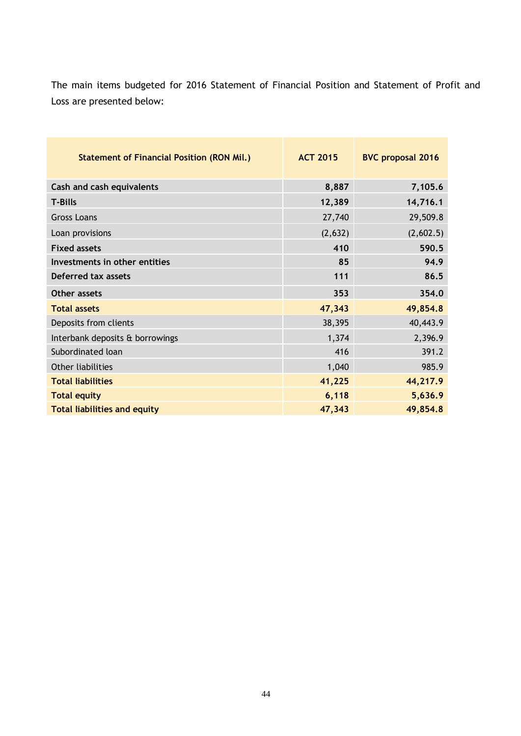The main items budgeted for 2016 Statement of Financial Position and Statement of Profit and Loss are presented below:

| <b>Statement of Financial Position (RON Mil.)</b> | <b>ACT 2015</b> | <b>BVC proposal 2016</b> |
|---------------------------------------------------|-----------------|--------------------------|
| Cash and cash equivalents                         | 8,887           | 7,105.6                  |
| <b>T-Bills</b>                                    | 12,389          | 14,716.1                 |
| <b>Gross Loans</b>                                | 27,740          | 29,509.8                 |
| Loan provisions                                   | (2,632)         | (2,602.5)                |
| <b>Fixed assets</b>                               | 410             | 590.5                    |
| Investments in other entities                     | 85              | 94.9                     |
| <b>Deferred tax assets</b>                        | 111             | 86.5                     |
| Other assets                                      | 353             | 354.0                    |
| <b>Total assets</b>                               | 47,343          | 49,854.8                 |
| Deposits from clients                             | 38,395          | 40,443.9                 |
| Interbank deposits & borrowings                   | 1,374           | 2,396.9                  |
| Subordinated loan                                 | 416             | 391.2                    |
| Other liabilities                                 | 1,040           | 985.9                    |
| <b>Total liabilities</b>                          | 41,225          | 44,217.9                 |
| <b>Total equity</b>                               | 6,118           | 5,636.9                  |
| <b>Total liabilities and equity</b>               | 47,343          | 49,854.8                 |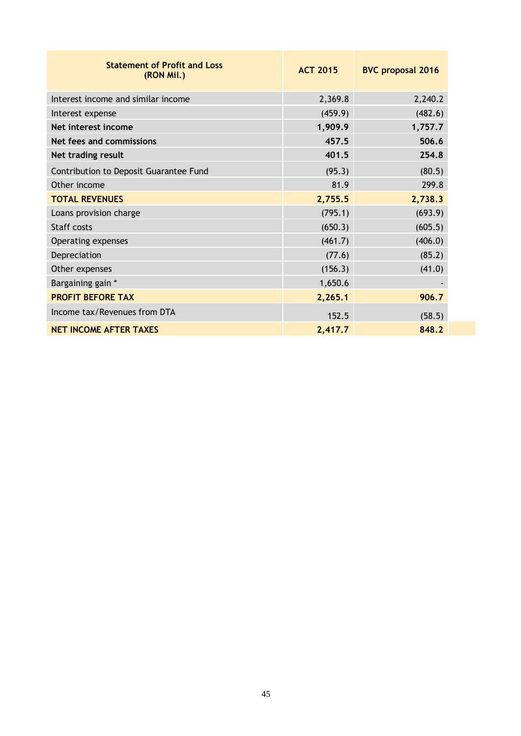| <b>Statement of Profit and Loss</b><br>(RON Mil.) | <b>ACT 2015</b> | <b>BVC proposal 2016</b> |
|---------------------------------------------------|-----------------|--------------------------|
| Interest income and similar income                | 2,369.8         | 2,240.2                  |
| Interest expense                                  | (459.9)         | (482.6)                  |
| Net interest income                               | 1,909.9         | 1,757.7                  |
| Net fees and commissions                          | 457.5           | 506.6                    |
| Net trading result                                | 401.5           | 254.8                    |
| Contribution to Deposit Guarantee Fund            | (95.3)          | (80.5)                   |
| Other income                                      | 81.9            | 299.8                    |
| <b>TOTAL REVENUES</b>                             | 2,755.5         | 2,738.3                  |
| Loans provision charge                            | (795.1)         | (693.9)                  |
| Staff costs                                       | (650.3)         | (605.5)                  |
| Operating expenses                                | (461.7)         | (406.0)                  |
| Depreciation                                      | (77.6)          | (85.2)                   |
| Other expenses                                    | (156.3)         | (41.0)                   |
| Bargaining gain *                                 | 1,650.6         |                          |
| <b>PROFIT BEFORE TAX</b>                          | 2,265.1         | 906.7                    |
| Income tax/Revenues from DTA                      | 152.5           | (58.5)                   |
| <b>NET INCOME AFTER TAXES</b>                     | 2,417.7         | 848.2                    |